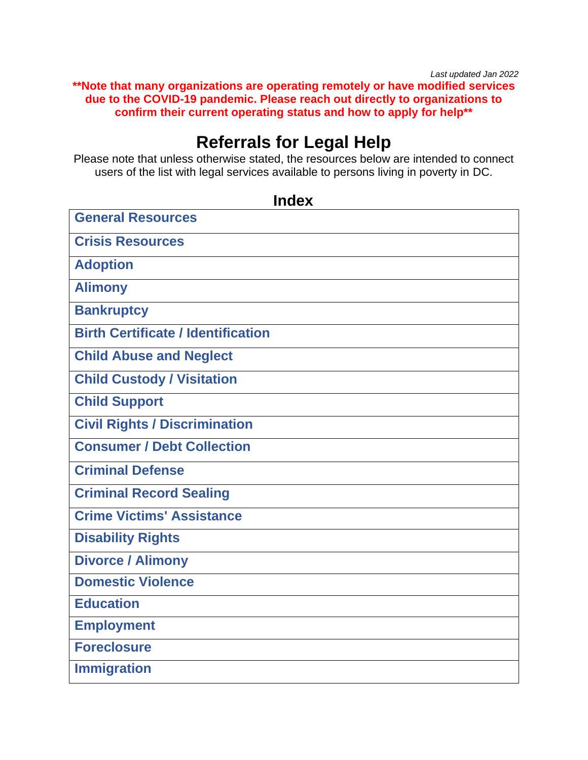*Last updated Jan 2022* **\*\*Note that many organizations are operating remotely or have modified services due to the COVID-19 pandemic. Please reach out directly to organizations to confirm their current operating status and how to apply for help\*\***

# **Referrals for Legal Help**

Please note that unless otherwise stated, the resources below are intended to connect users of the list with legal services available to persons living in poverty in DC.

**Index** 

<span id="page-0-0"></span>

| <b>General Resources</b>                  |
|-------------------------------------------|
| <b>Crisis Resources</b>                   |
| <b>Adoption</b>                           |
| <b>Alimony</b>                            |
| <b>Bankruptcy</b>                         |
| <b>Birth Certificate / Identification</b> |
| <b>Child Abuse and Neglect</b>            |
| <b>Child Custody / Visitation</b>         |
| <b>Child Support</b>                      |
| <b>Civil Rights / Discrimination</b>      |
| <b>Consumer / Debt Collection</b>         |
| <b>Criminal Defense</b>                   |
| <b>Criminal Record Sealing</b>            |
| <b>Crime Victims' Assistance</b>          |
| <b>Disability Rights</b>                  |
| <b>Divorce / Alimony</b>                  |
| <b>Domestic Violence</b>                  |
| <b>Education</b>                          |
| <b>Employment</b>                         |
| <b>Foreclosure</b>                        |
| <b>Immigration</b>                        |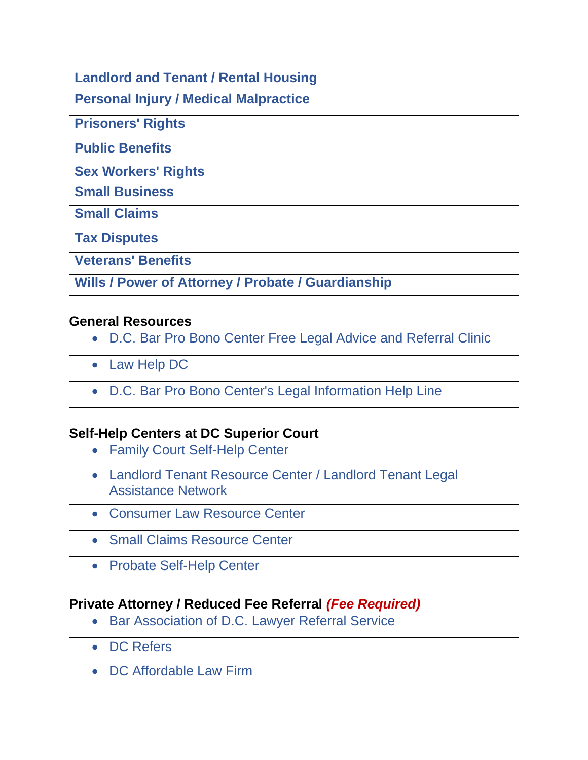**[Landlord and Tenant / Rental Housing](#page-11-0)**

**[Personal Injury / Medical Malpractice](#page-12-0)**

**[Prisoners' Rights](#page-12-1)**

**[Public Benefits](#page-13-0)** 

**[Sex Workers' Rights](#page-14-0)**

**[Small Business](#page-14-1)**

**[Small Claims](#page-14-2)**

**[Tax Disputes](#page-14-3)**

**[Veterans' Benefits](#page-14-4)**

**[Wills](#page-15-0) / [Power of Attorney](#page-15-1) / [Probate](#page-15-2) / [Guardianship](#page-16-0)** 

#### <span id="page-1-0"></span>**General Resources**

- [D.C. Bar Pro Bono Center Free Legal Advice and Referral Clinic](#page-27-0)
- [Law Help DC](#page-36-0)
- [D.C. Bar Pro Bono Center's Legal Information Help Line](#page-28-0)

#### **Self-Help Centers at DC Superior Court**

- [Family Court Self-Help Center](#page-32-0)
- [Landlord Tenant Resource Center / Landlord Tenant Legal](#page-36-1)  [Assistance Network](#page-36-1)
- [Consumer Law Resource Center](#page-26-0)
- [Small Claims Resource Center](#page-14-2)
- [Probate Self-Help Center](#page-46-0)

#### **Private Attorney / Reduced Fee Referral** *(Fee Required)*

- [Bar Association of D.C. Lawyer Referral Service](#page-20-0)
- [DC Refers](#page-29-0)
- [DC Affordable Law Firm](#page-27-1)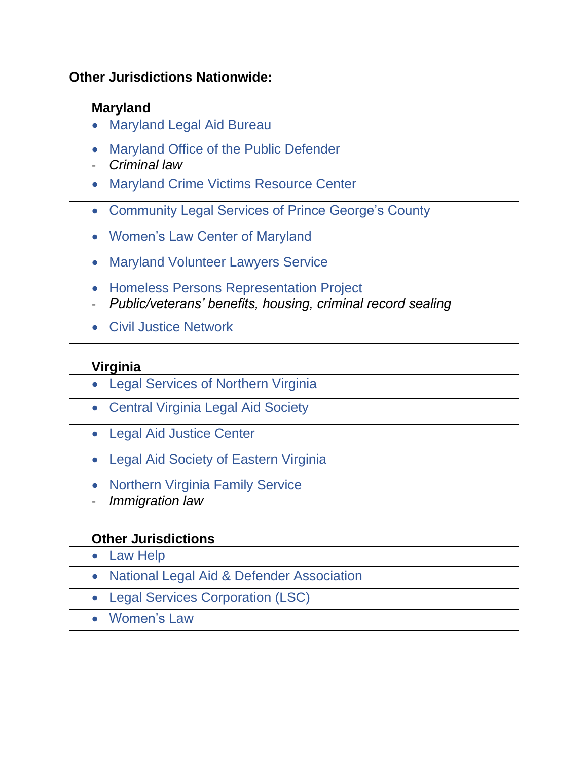#### **Other Jurisdictions Nationwide:**

## **Maryland**

- [Maryland Legal Aid Bureau](#page-39-0)
- [Maryland Office of the Public Defender](#page-39-1)
- *Criminal law*
- [Maryland Crime Victims Resource Center](#page-39-2)
- [Community Legal Services of Prince George's County](#page-25-0)
- [Women's Law Center of Maryland](#page-52-0)
- [Maryland Volunteer Lawyers Service](#page-40-0)
- [Homeless Persons Representation Project](#page-33-0)
- *Public/veterans' benefits, housing, criminal record sealing*
- [Civil Justice Network](#page-24-0)

## **Virginia**

- [Legal Services of Northern Virginia](#page-38-0)
- [Central Virginia Legal Aid Society](#page-23-0)
- [Legal Aid Justice Center](#page-37-0)
- [Legal Aid Society of Eastern Virginia](#page-38-1)
- [Northern Virginia Family Service](#page-44-0)
- *Immigration law*

#### **Other Jurisdictions**

• [Law Help](#page-36-0) • [National Legal Aid & Defender Association](#page-42-0) • [Legal Services Corporation \(LSC\)](#page-38-2) • [Women's](bookmark://WomensLaw/) Law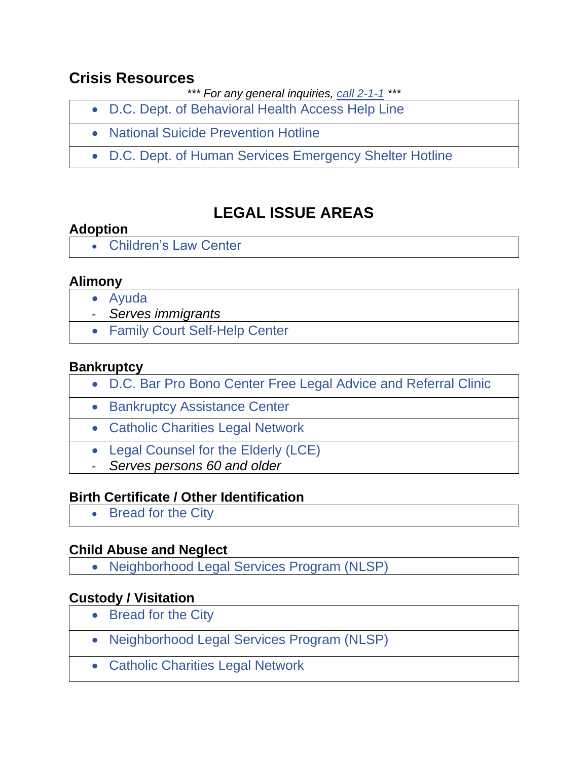## <span id="page-3-0"></span>**Crisis Resources**

*\*\*\* For any general inquiries, [call 2-1-1](https://answersplease.dc.gov/) \*\*\**

- [D.C. Dept. of Behavioral Health Access Help Line](#page-28-1)
- [National Suicide Prevention Hotline](#page-42-1)
- [D.C. Dept. of Human Services Emergency Shelter Hotline](#page-29-1)

# **LEGAL ISSUE AREAS**

## <span id="page-3-1"></span>**Adoption**

• [Children's Law Center](#page-23-1)

#### <span id="page-3-2"></span>**Alimony**

- [Ayuda](#page-19-0)
- *Serves immigrants*
- [Family Court Self-Help Center](#page-32-0)

#### <span id="page-3-3"></span>**Bankruptcy**

- [D.C. Bar Pro Bono Center Free Legal Advice and Referral Clinic](#page-27-0)
- [Bankruptcy Assistance Center](#page-19-1)
- [Catholic Charities Legal Network](#page-22-0)
- [Legal Counsel for the Elderly \(LCE\)](#page-37-1)
- *Serves persons 60 and older*

#### <span id="page-3-4"></span>**Birth Certificate / Other Identification**

• [Bread for the City](#page-21-0)

#### <span id="page-3-5"></span>**Child Abuse and Neglect**

• [Neighborhood Legal Services Program \(NLSP\)](#page-44-1)

#### <span id="page-3-6"></span>**Custody / Visitation**

- [Bread for the City](#page-21-0)
- [Neighborhood Legal Services Program \(NLSP\)](#page-44-1)
- [Catholic Charities Legal Network](#page-22-0)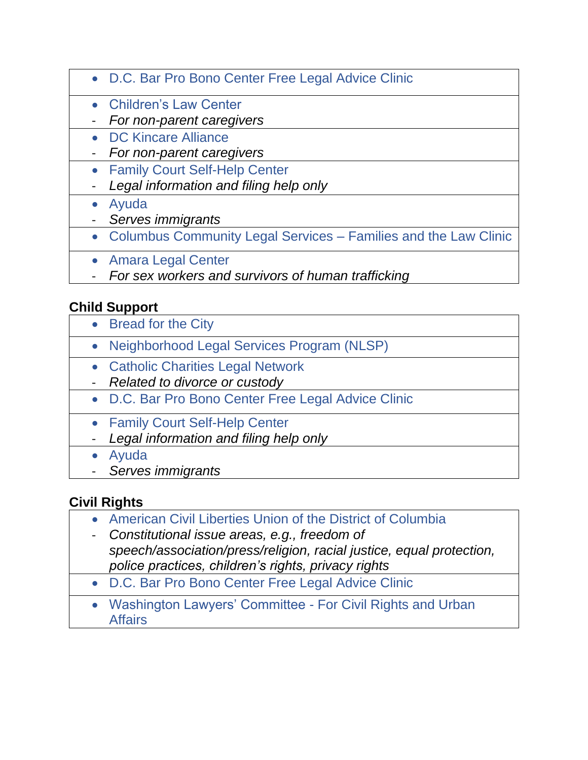- [D.C. Bar Pro Bono Center Free Legal Advice Clinic](#page-27-0)
- [Children's Law Center](#page-23-1)
- *For non-parent caregivers*
- [DC Kincare Alliance](#page-29-2)
- *For non-parent caregivers*
- [Family Court Self-Help Center](#page-32-0)
- *Legal information and filing help only*
- [Ayuda](#page-19-0)
- *Serves immigrants*
- [Columbus Community Legal Services –](#page-24-1) Families and the Law Clinic
- [Amara Legal Center](#page-17-0)
- *For sex workers and survivors of human trafficking*

# <span id="page-4-0"></span>**Child Support**

- [Bread for the City](#page-21-0)
- [Neighborhood Legal Services Program \(NLSP\)](#page-44-1)
- [Catholic Charities Legal Network](#page-22-0)
- *Related to divorce or custody*
- [D.C. Bar Pro Bono Center Free Legal Advice Clinic](#page-27-0)
- [Family Court Self-Help Center](#page-32-0)
- *Legal information and filing help only*
- [Ayuda](#page-19-0)
- *Serves immigrants*

# <span id="page-4-1"></span>**Civil Rights**

- [American Civil Liberties Union of the District of Columbia](#page-16-1)
- *Constitutional issue areas, e.g., freedom of speech/association/press/religion, racial justice, equal protection, police practices, children's rights, privacy rights*
- [D.C. Bar Pro Bono Center Free Legal Advice Clinic](#page-27-0)
- <span id="page-4-2"></span>• [Washington Lawyers' Committee -](#page-51-0) For Civil Rights and Urban **[Affairs](#page-51-0)**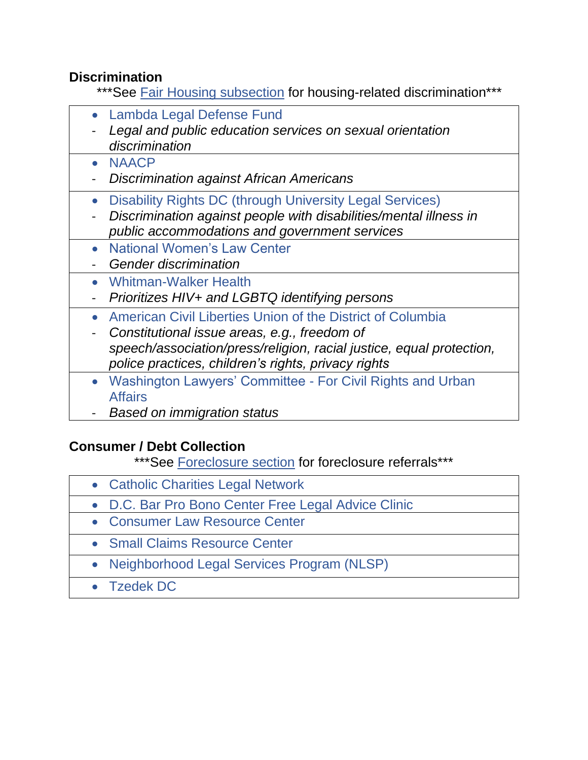#### **Discrimination**

- \*\*\* See [Fair Housing subsection](#page-12-2) for housing-related discrimination\*\*\*
- [Lambda Legal Defense Fund](#page-35-0)
- *Legal and public education services on sexual orientation discrimination*
- [NAACP](#page-41-0)
- *Discrimination against African Americans*
- [Disability Rights DC \(through University Legal Services\)](#page-49-0)
- *Discrimination against people with disabilities/mental illness in public accommodations and government services*
- [National Women's Law Center](#page-43-0)
- *Gender discrimination*
- [Whitman-Walker Health](#page-52-1)
- *Prioritizes HIV+ and LGBTQ identifying persons*
- [American Civil Liberties Union of the District of Columbia](#page-16-1)
- *Constitutional issue areas, e.g., freedom of speech/association/press/religion, racial justice, equal protection, police practices, children's rights, privacy rights*
- [Washington Lawyers' Committee -](#page-51-0) For Civil Rights and Urban [Affairs](#page-51-0)
- *Based on immigration status*

#### <span id="page-5-0"></span>**Consumer / Debt Collection**

\*\*\*See [Foreclosure section](#page-10-0) for foreclosure referrals\*\*\*

- [Catholic Charities Legal Network](#page-22-0)
- [D.C. Bar Pro Bono Center Free Legal Advice Clinic](#page-27-0)
- [Consumer Law Resource Center](#page-26-0)
- [Small Claims Resource Center](#page-48-0)
- [Neighborhood Legal Services Program \(NLSP\)](#page-44-1)
- [Tzedek DC](#page-48-1)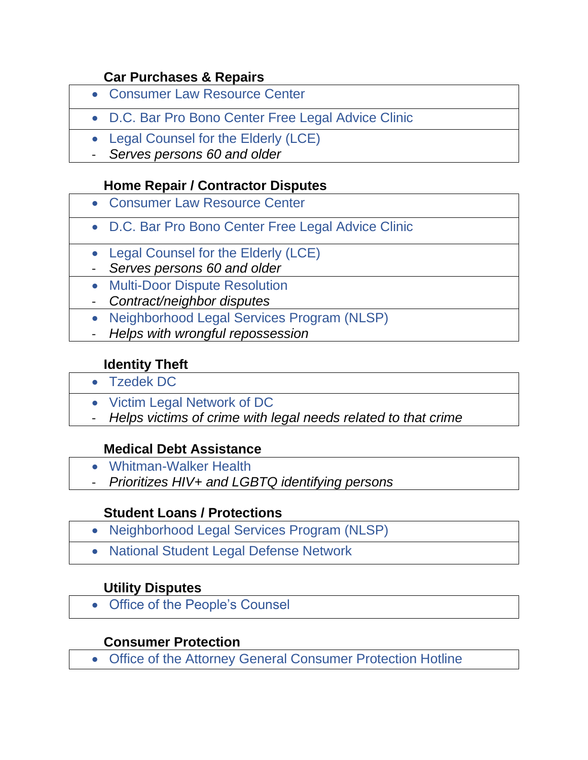#### **Car Purchases & Repairs**

- [Consumer Law Resource Center](#page-26-0)
- [D.C. Bar Pro Bono Center Free Legal Advice Clinic](#page-27-0)
- Legal Counsel for the Elderly (LCE)
- *Serves persons 60 and older*

#### **Home Repair / Contractor Disputes**

- [Consumer Law Resource Center](#page-26-0)
	- [D.C. Bar Pro Bono Center Free Legal Advice Clinic](#page-27-0)
	- Legal Counsel for the Elderly (LCE)
	- *Serves persons 60 and older*
	- [Multi-Door Dispute Resolution](#page-41-1)
	- *Contract/neighbor disputes*
	- [Neighborhood Legal Services Program \(NLSP\)](#page-44-1)
	- *Helps with wrongful repossession*

#### **Identity Theft**

- [Tzedek DC](#page-48-1) 
	- [Victim Legal Network of DC](#page-50-0)
	- *Helps victims of crime with legal needs related to that crime*

#### **Medical Debt Assistance**

- [Whitman-Walker Health](#page-52-1)
- *Prioritizes HIV+ and LGBTQ identifying persons*

#### **Student Loans / Protections**

- [Neighborhood Legal Services Program \(NLSP\)](#page-44-1)
- [National Student Legal Defense Network](#page-42-2)

#### **Utility Disputes**

• [Office of the People's Counsel](#page-45-0)

#### **Consumer Protection**

<span id="page-6-0"></span>• [Office of the Attorney General Consumer Protection Hotline](#page-44-2)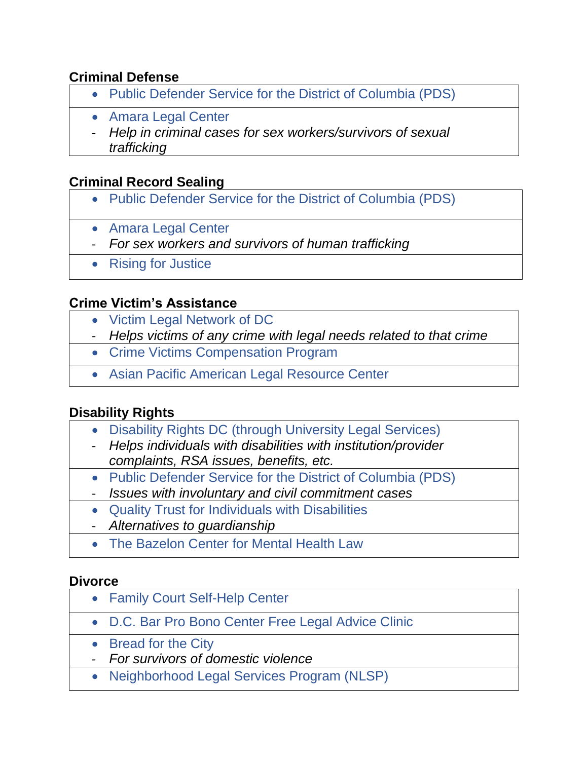#### **Criminal Defense**

- [Public Defender Service for the District of Columbia \(PDS\)](#page-46-1)
- [Amara Legal Center](#page-17-0)
- *Help in criminal cases for sex workers/survivors of sexual trafficking*

## <span id="page-7-0"></span>**Criminal Record Sealing**

- [Public Defender Service for the District of Columbia \(PDS\)](#page-46-1)
- [Amara Legal Center](#page-17-0)
- *For sex workers and survivors of human trafficking*
- [Rising for Justice](#page-47-0)

#### <span id="page-7-1"></span>**Crime Victim's Assistance**

- [Victim Legal Network of DC](#page-50-0)
- *Helps victims of any crime with legal needs related to that crime*
- Crime Victims Compensation Program
- [Asian Pacific American Legal Resource Center](#page-18-0)

#### <span id="page-7-2"></span>**Disability Rights**

- [Disability Rights DC \(through University Legal Services\)](#page-49-0)
- *Helps individuals with disabilities with institution/provider complaints, RSA issues, benefits, etc.*
- [Public Defender Service for the District of Columbia \(PDS\)](#page-46-1)
- *Issues with involuntary and civil commitment cases*
- [Quality Trust for Individuals with Disabilities](#page-47-1)
- *Alternatives to guardianship*
- [The Bazelon Center for Mental Health Law](#page-20-1)

#### <span id="page-7-3"></span>**Divorce**

- [Family Court Self-Help Center](#page-32-0)
- [D.C. Bar Pro Bono Center Free Legal Advice Clinic](#page-27-0)
- [Bread for the City](#page-21-0)
- *For survivors of domestic violence*
- [Neighborhood Legal Services Program \(NLSP\)](#page-44-1)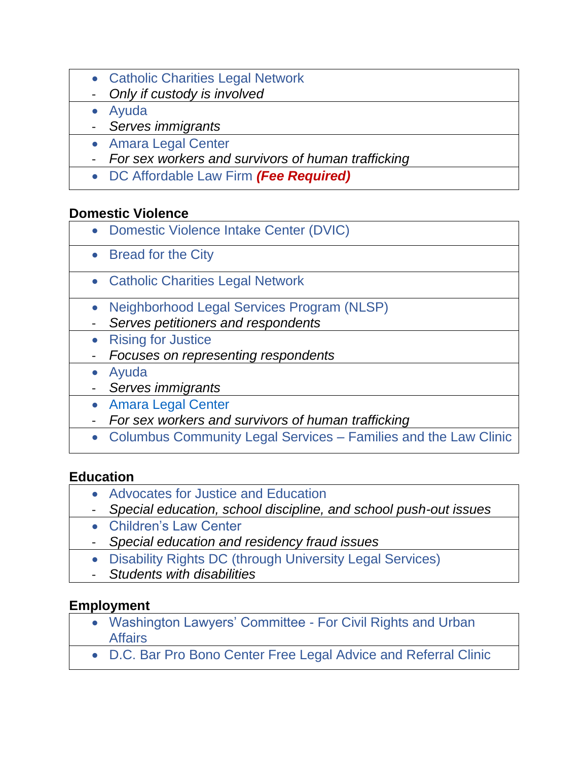- [Catholic Charities Legal Network](#page-22-0)
- *Only if custody is involved*
- [Ayuda](#page-19-0)
- *Serves immigrants*
- [Amara Legal Center](#page-17-0)
- *For sex workers and survivors of human trafficking*
- [DC Affordable Law Firm](#page-27-1) *(Fee Required)*

## <span id="page-8-0"></span>**Domestic Violence**

- [Domestic Violence Intake Center \(DVIC\)](#page-30-0)
- [Bread for the City](#page-21-0)
- [Catholic Charities Legal Network](#page-22-0)
- [Neighborhood Legal Services Program \(NLSP\)](#page-44-1)
- *Serves petitioners and respondents*
- [Rising for Justice](#page-47-0)
- *Focuses on representing respondents*
- [Ayuda](#page-19-0)
- *Serves immigrants*
- [Amara Legal Center](#page-17-0)
- *For sex workers and survivors of human trafficking*
- [Columbus Community Legal Services –](#page-24-1) Families and the Law Clinic

#### <span id="page-8-1"></span>**Education**

- [Advocates for Justice and Education](#page-17-1)
- *Special education, school discipline, and school push-out issues*
- [Children's Law Center](#page-23-1)
- *Special education and residency fraud issues*
- [Disability Rights DC \(through University Legal Services\)](#page-49-0)
- *Students with disabilities*

#### <span id="page-8-2"></span>**Employment**

- [Washington Lawyers' Committee -](#page-51-0) For Civil Rights and Urban **[Affairs](#page-51-0)**
- [D.C. Bar Pro Bono Center Free Legal Advice and Referral Clinic](#page-27-0)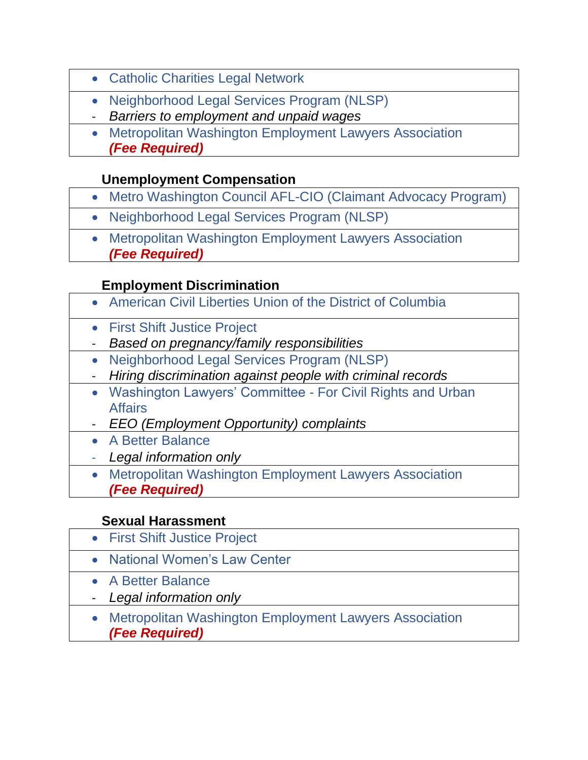- [Catholic Charities Legal Network](#page-22-0)
- [Neighborhood Legal Services Program \(NLSP\)](#page-44-1)
- *Barriers to employment and unpaid wages*
- [Metropolitan Washington Employment Lawyers Association](#page-40-1) *(Fee Required)*

## **Unemployment Compensation**

- [Metro Washington Council AFL-CIO \(Claimant Advocacy Program\)](#page-40-2)
- [Neighborhood Legal Services Program \(NLSP\)](#page-44-1)
- [Metropolitan Washington Employment Lawyers Association](#page-40-1) *(Fee Required)*

## **Employment Discrimination**

- [American Civil Liberties Union of the District of Columbia](#page-16-1)
- [First Shift Justice Project](#page-32-1)
- *Based on pregnancy/family responsibilities*
- [Neighborhood Legal Services Program \(NLSP\)](#page-44-1)
- *Hiring discrimination against people with criminal records*
- [Washington Lawyers' Committee -](#page-51-0) For Civil Rights and Urban [Affairs](#page-51-0)
- *EEO (Employment Opportunity) complaints*
- [A Better Balance](#page-16-2)
- *Legal information only*
- [Metropolitan Washington Employment Lawyers Association](#page-40-1) *(Fee Required)*

#### **Sexual Harassment**

- [First Shift Justice Project](#page-32-1) • [National Women's Law Center](#page-43-0) • [A Better Balance](#page-16-2) - *Legal information only* • [Metropolitan Washington Employment Lawyers Association](#page-40-1)
	- *(Fee Required)*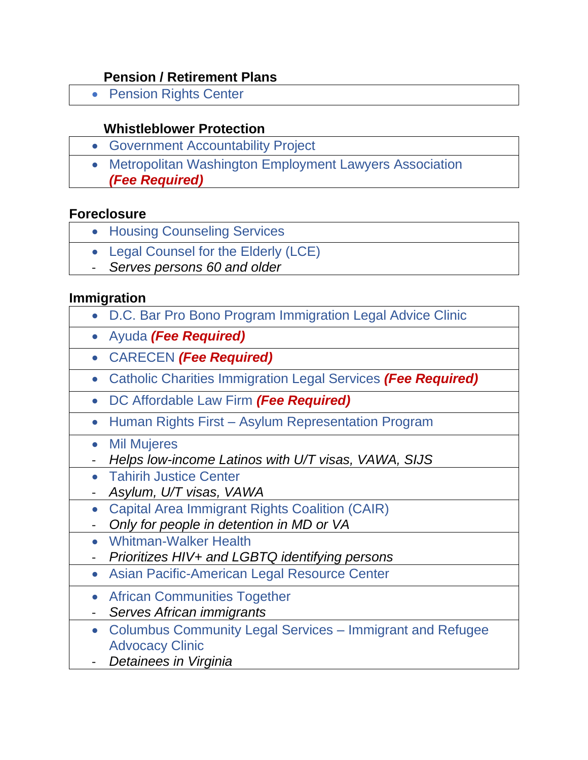#### **Pension / Retirement Plans**

• [Pension Rights Center](#page-46-2)

## **Whistleblower Protection**

- [Government Accountability Project](#page-33-1)
- [Metropolitan Washington Employment Lawyers Association](#page-40-1) *(Fee Required)*

#### <span id="page-10-0"></span>**Foreclosure**

- [Housing Counseling Services](#page-34-0)
- [Legal Counsel for the Elderly \(LCE\)](#page-37-1)
- *Serves persons 60 and older*

#### <span id="page-10-1"></span>**Immigration**

- [D.C. Bar Pro Bono Program Immigration Legal Advice Clinic](#page-27-2)
	- [Ayuda](#page-19-0) *(Fee Required)*
	- [CARECEN](#page-22-1) *(Fee Required)*
- [Catholic Charities Immigration Legal Services](#page-22-0) *(Fee Required)*
- [DC Affordable Law Firm](#page-27-1) *(Fee Required)*
- Human Rights First [Asylum Representation Program](#page-34-1)
- [Mil Mujeres](#page-41-2)
- *Helps low-income Latinos with U/T visas, VAWA, SIJS*
- [Tahirih Justice Center](#page-48-2)
- *Asylum, U/T visas, VAWA*
- [Capital Area Immigrant Rights Coalition \(CAIR\)](#page-21-1)
- *Only for people in detention in MD or VA*
- [Whitman-Walker Health](#page-52-1)
- *Prioritizes HIV+ and LGBTQ identifying persons*
- [Asian Pacific-American Legal Resource Center](#page-18-0)
- [African Communities Together](#page-17-2)
- *Serves African immigrants*
- [Columbus Community Legal Services –](#page-24-1) Immigrant and Refugee [Advocacy Clinic](#page-24-1)
- *Detainees in Virginia*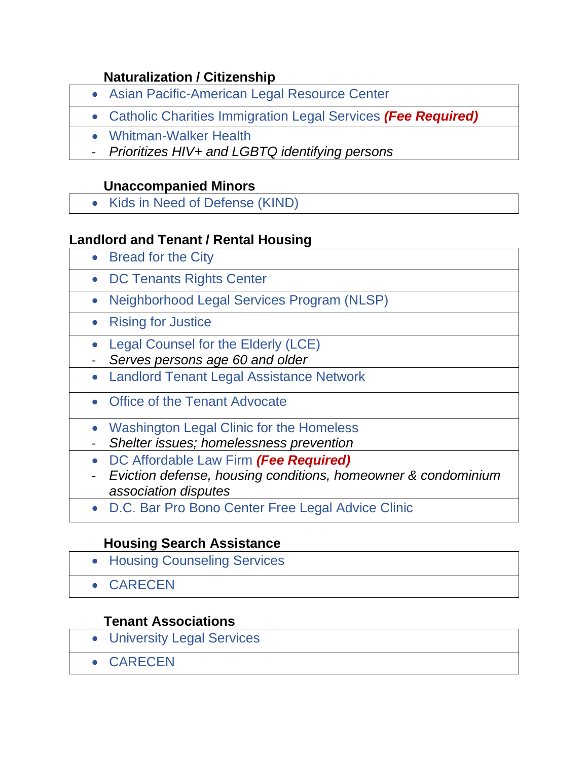#### **Naturalization / Citizenship**

- [Asian Pacific-American Legal Resource Center](#page-18-0)
- [Catholic Charities Immigration Legal Services](#page-22-0) *(Fee Required)*
- [Whitman-Walker Health](#page-52-1)
- *Prioritizes HIV+ and LGBTQ identifying persons*

## **Unaccompanied Minors**

• [Kids in Need of Defense \(KIND\)](#page-35-1)

#### <span id="page-11-0"></span>**Landlord and Tenant / Rental Housing**

- [Bread for the City](#page-21-0)
- [DC Tenants Rights Center](#page-30-1)
- [Neighborhood Legal Services Program \(NLSP\)](#page-44-1)
- [Rising for Justice](#page-47-0)
- [Legal Counsel for the Elderly \(LCE\)](#page-37-1)
- *Serves persons age 60 and older*
- [Landlord Tenant Legal Assistance Network](#page-36-1)
- [Office of the Tenant Advocate](#page-45-1)
- [Washington Legal Clinic for the Homeless](#page-51-1)
- *Shelter issues; homelessness prevention*
- [DC Affordable Law Firm](#page-27-1) *(Fee Required)*
- *Eviction defense, housing conditions, homeowner & condominium association disputes*
- [D.C. Bar Pro Bono Center Free Legal Advice Clinic](#page-27-0)

#### **Housing Search Assistance**

• [Housing Counseling Services](#page-34-0) • [CARECEN](#page-22-1)

#### **Tenant Associations**

- [University Legal Services](#page-49-0)
- [CARECEN](#page-22-1)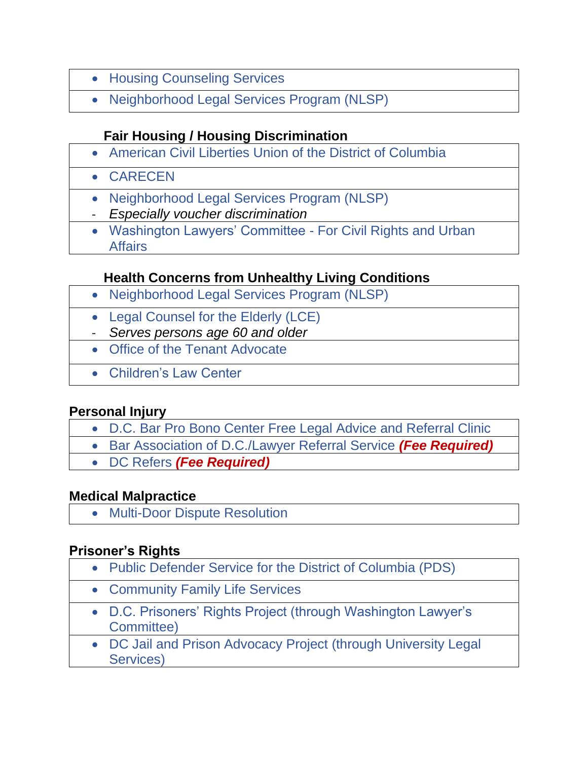- [Housing Counseling Services](#page-34-0)
- [Neighborhood Legal Services Program \(NLSP\)](#page-44-1)

#### **Fair Housing / Housing Discrimination**

<span id="page-12-2"></span>• [American Civil Liberties Union of the District of Columbia](#page-16-1)

• [CARECEN](#page-22-1)

- [Neighborhood Legal Services Program \(NLSP\)](#page-44-1)
- *Especially voucher discrimination*
- [Washington Lawyers' Committee -](#page-51-0) For Civil Rights and Urban **[Affairs](#page-51-0)**

#### **Health Concerns from Unhealthy Living Conditions**

- [Neighborhood Legal Services Program \(NLSP\)](#page-44-1)
- [Legal Counsel for the Elderly \(LCE\)](#page-37-1)
- *Serves persons age 60 and older*
- [Office of the Tenant Advocate](#page-45-1)
- [Children's Law Center](#page-23-1)

#### <span id="page-12-0"></span>**Personal Injury**

- [D.C. Bar Pro Bono Center Free Legal Advice and Referral Clinic](#page-27-0)
- [Bar Association of D.C./Lawyer Referral Service](#page-20-0) *(Fee Required)*
- [DC Refers](#page-29-0) *(Fee Required)*

#### **Medical Malpractice**

• [Multi-Door Dispute Resolution](#page-41-1)

#### <span id="page-12-1"></span>**Prisoner's Rights**

- [Public Defender Service for the District of Columbia \(PDS\)](#page-46-1)
- [Community Family Life Services](#page-25-1)
- [D.C. Prisoners' Rights Project \(through Washington Lawyer's](#page-51-0)  [Committee\)](#page-51-0)
- [DC Jail and Prison Advocacy Project \(through University Legal](#page-49-0)  [Services\)](#page-49-0)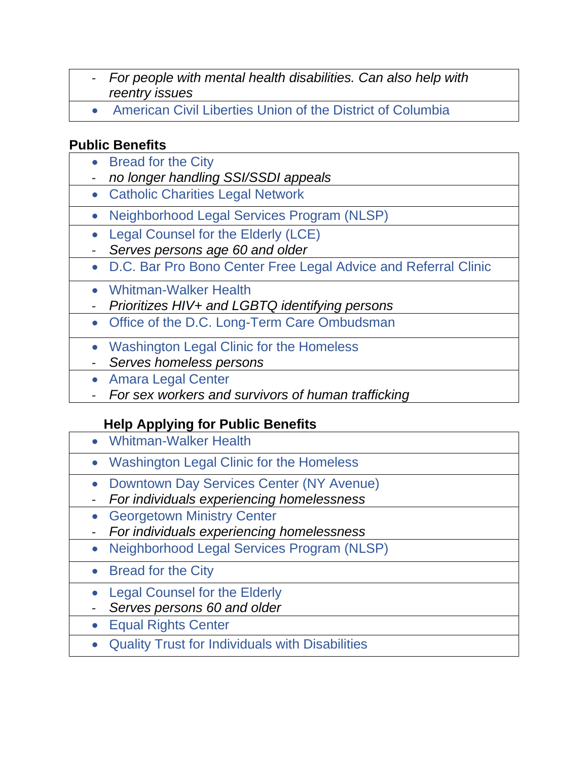- *For people with mental health disabilities. Can also help with reentry issues*
- [American Civil Liberties Union of the District of Columbia](#page-16-1)

#### <span id="page-13-0"></span>**Public Benefits**

- [Bread for the City](#page-21-0)
- *no longer handling SSI/SSDI appeals*
- [Catholic Charities Legal Network](#page-22-0)
- [Neighborhood Legal Services Program \(NLSP\)](#page-44-1)
- [Legal Counsel for the Elderly \(LCE\)](#page-37-1)
- *Serves persons age 60 and older*
- [D.C. Bar Pro Bono Center Free Legal Advice and Referral Clinic](#page-27-0)
	- [Whitman-Walker Health](#page-52-1)
	- *Prioritizes HIV+ and LGBTQ identifying persons*
	- [Office of the D.C. Long-Term Care Ombudsman](#page-45-2)
	- [Washington Legal Clinic for the Homeless](#page-51-1)
	- *Serves homeless persons*
	- [Amara Legal Center](#page-17-0)
	- *For sex workers and survivors of human trafficking*

## **Help Applying for Public Benefits**

- [Whitman-Walker Health](#page-52-1)
- [Washington Legal Clinic for the Homeless](#page-51-1)
- [Downtown Day Services Center \(NY Avenue\)](#page-31-0)
- *For individuals experiencing homelessness*
- [Georgetown Ministry Center](#page-33-2)
- *For individuals experiencing homelessness*
- [Neighborhood Legal Services Program \(NLSP\)](#page-44-1)
- [Bread for the City](#page-21-0)
- [Legal Counsel for the Elderly](#page-37-1)
- *Serves persons 60 and older*
- [Equal Rights Center](#page-31-1)
- [Quality Trust for Individuals with Disabilities](#page-47-1)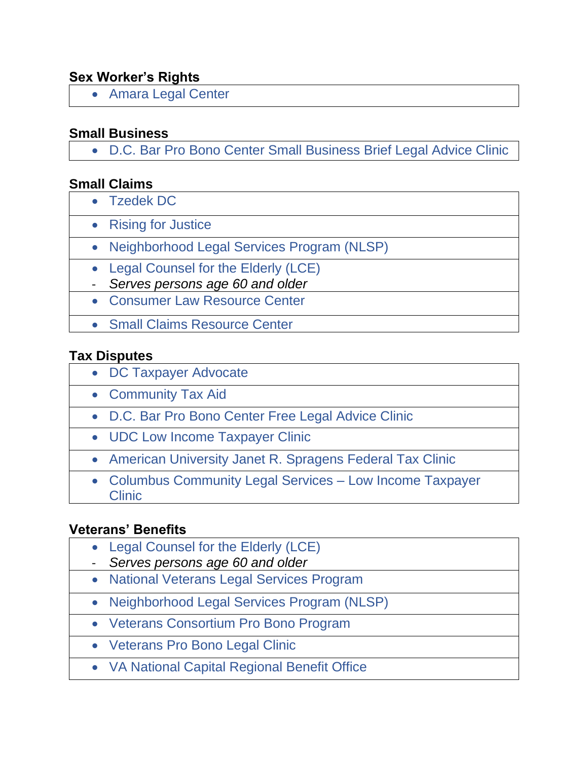#### <span id="page-14-0"></span>**Sex Worker's Rights**

• [Amara Legal Center](#page-17-0)

#### <span id="page-14-1"></span>**Small Business**

• [D.C. Bar Pro Bono Center Small Business Brief Legal Advice Clinic](#page-28-2)

#### <span id="page-14-2"></span>**Small Claims**

- [Tzedek DC](#page-48-1)
	- [Rising for Justice](#page-47-0)
	- [Neighborhood Legal Services Program \(NLSP\)](#page-44-1)
	- [Legal Counsel for the Elderly \(LCE\)](#page-37-1)
	- *Serves persons age 60 and older*
	- [Consumer Law Resource Center](#page-26-0)
	- [Small Claims Resource Center](#page-48-0)

#### <span id="page-14-3"></span>**[Tax Disputes](#page-14-3)**

- [DC Taxpayer Advocate](#page-28-3)
- [Community Tax Aid](#page-25-2)
	- [D.C. Bar Pro Bono Center Free Legal Advice Clinic](#page-27-0)
- [UDC Low Income Taxpayer Clinic](#page-49-1)
- [American University Janet R. Spragens Federal Tax Clinic](#page-18-1)
- [Columbus Community Legal Services –](#page-24-1) Low Income Taxpayer **[Clinic](#page-24-1)**

#### <span id="page-14-4"></span>**Veterans' Benefits**

- [Legal Counsel for the Elderly \(LCE\)](#page-37-1)
- *Serves persons age 60 and older*
- [National Veterans Legal Services Program](#page-43-1)
- [Neighborhood Legal Services Program \(NLSP\)](#page-44-1)
- [Veterans Consortium Pro Bono Program](#page-49-2)
- [Veterans Pro Bono Legal Clinic](#page-50-1)
- [VA National Capital Regional Benefit Office](#page-50-2)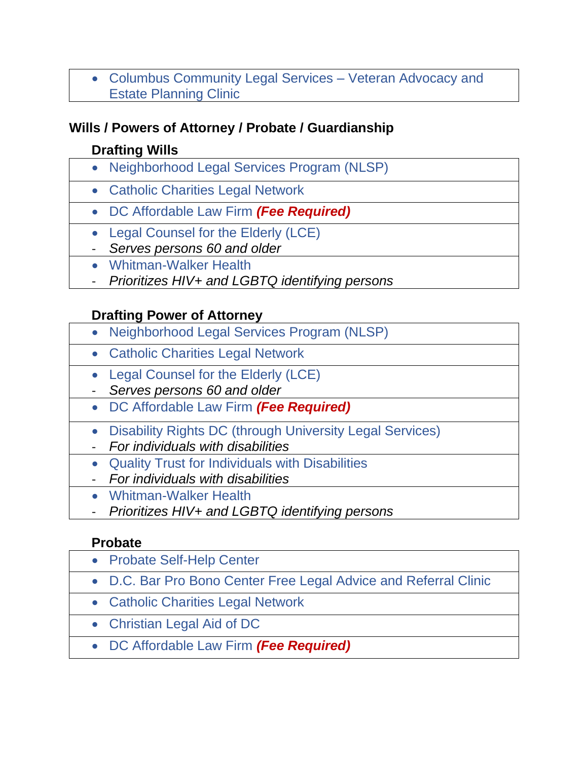• [Columbus Community Legal Services –](#page-24-1) Veteran Advocacy and [Estate Planning Clinic](#page-24-1)

#### <span id="page-15-0"></span>**Wills / Powers of Attorney / Probate / Guardianship**

## **Drafting Wills**

- [Neighborhood Legal Services Program \(NLSP\)](#page-44-1)
- [Catholic Charities Legal Network](#page-22-0)
- [DC Affordable Law Firm](#page-27-1) *(Fee Required)*
- [Legal Counsel for the Elderly \(LCE\)](#page-37-1)
- *Serves persons 60 and older*
- [Whitman-Walker Health](#page-52-1)
- *Prioritizes HIV+ and LGBTQ identifying persons*

#### **Drafting Power of Attorney**

- <span id="page-15-1"></span>• [Neighborhood Legal Services Program \(NLSP\)](#page-44-1)
- [Catholic Charities Legal Network](#page-22-0)
- [Legal Counsel for the Elderly \(LCE\)](#page-37-1)
- *Serves persons 60 and older*
- [DC Affordable Law Firm](#page-27-1) *(Fee Required)*
- [Disability Rights DC \(through University Legal Services\)](#page-49-0)
- *For individuals with disabilities*
- [Quality Trust for Individuals with Disabilities](#page-47-1)
- *For individuals with disabilities*
- [Whitman-Walker Health](#page-52-1)
- *Prioritizes HIV+ and LGBTQ identifying persons*

#### **Probate**

- <span id="page-15-2"></span>• [Probate Self-Help Center](#page-46-0) • [D.C. Bar Pro Bono Center Free Legal Advice and Referral Clinic](#page-27-0)
	- [Catholic Charities Legal Network](#page-22-0)
	- [Christian Legal Aid of DC](#page-23-2)
	- [DC Affordable Law Firm](#page-27-1) *(Fee Required)*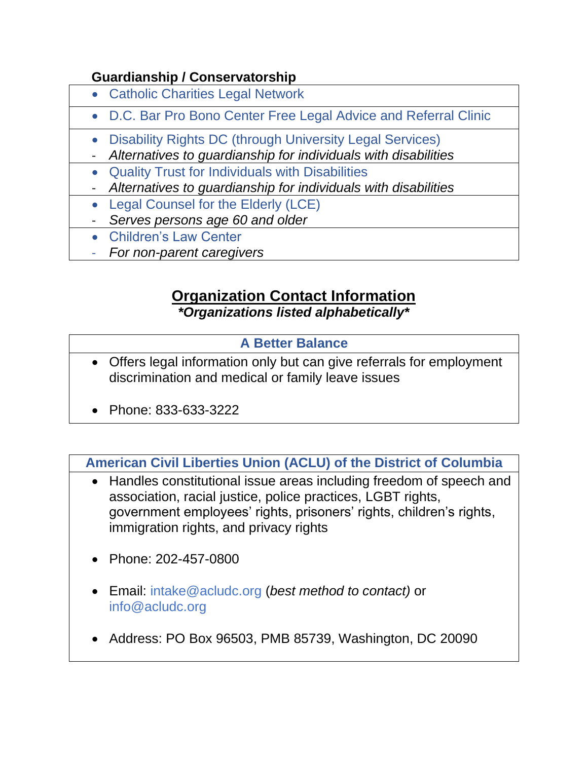#### <span id="page-16-0"></span> **Guardianship / Conservatorship**

- [Catholic Charities Legal Network](#page-22-0)
- [D.C. Bar Pro Bono Center Free Legal Advice and Referral Clinic](#page-27-0)
- [Disability Rights DC \(through University Legal Services\)](#page-49-0)
- *Alternatives to guardianship for individuals with disabilities*
- [Quality Trust for Individuals with Disabilities](#page-47-1)
- *Alternatives to guardianship for individuals with disabilities*
- [Legal Counsel for the Elderly \(LCE\)](#page-37-1)
- *Serves persons age 60 and older*
- [Children's Law Center](#page-23-1)
- *For non-parent caregivers*

# **Organization Contact Information**

*\*Organizations listed alphabetically\**

#### **[A Better Balance](https://www.abetterbalance.org/?gclid=Cj0KCQjw1PSDBhDbARIsAPeTqrcwbeth22EYJ9Of6m-d-1aJRU-TQTqPcAf0GVlcYt9A-DZjb2Z3JiwaAlP2EALw_wcB)**

- <span id="page-16-2"></span>• Offers legal information only but can give referrals for employment discrimination and medical or family leave issues
- Phone: 833-633-3222

<span id="page-16-1"></span>**[American Civil Liberties Union \(ACLU\) of the District of Columbia](https://www.acludc.org/)**

- Handles constitutional issue areas including freedom of speech and association, racial justice, police practices, LGBT rights, government employees' rights, prisoners' rights, children's rights, immigration rights, and privacy rights
- Phone: 202-457-0800
- Email: [intake@acludc.org](mailto:intake@acludc.org) (*best method to contact)* or [info@acludc.org](mailto:info@acludc.org)
- Address: PO Box 96503, PMB 85739, Washington, DC 20090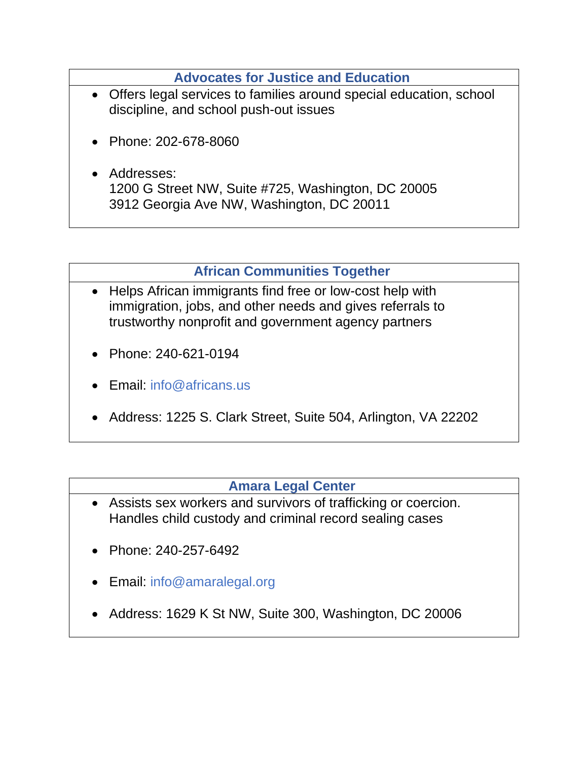**[Advocates for Justice and Education](http://www.aje-dc.org/)**

- <span id="page-17-1"></span>• Offers legal services to families around special education, school discipline, and school push-out issues
- Phone: 202-678-8060
- Addresses: 1200 G Street NW, Suite #725, Washington, DC 20005 3912 Georgia Ave NW, Washington, DC 20011

**[African Communities Together](http://www.africans.us/)**

- <span id="page-17-2"></span>• Helps African immigrants find free or low-cost help with immigration, jobs, and other needs and gives referrals to trustworthy nonprofit and government agency partners
- Phone: 240-621-0194
- Email: [info@africans.us](mailto:info@africans.us)
- Address: 1225 S. Clark Street, Suite 504, Arlington, VA 22202

#### **[Amara Legal Center](https://www.amaralegal.org/)**

- <span id="page-17-0"></span>• Assists sex workers and survivors of trafficking or coercion. Handles child custody and criminal record sealing cases
- Phone: 240-257-6492
- Email: [info@amaralegal.org](mailto:info@amaralegal.org)
- Address: 1629 K St NW, Suite 300, Washington, DC 20006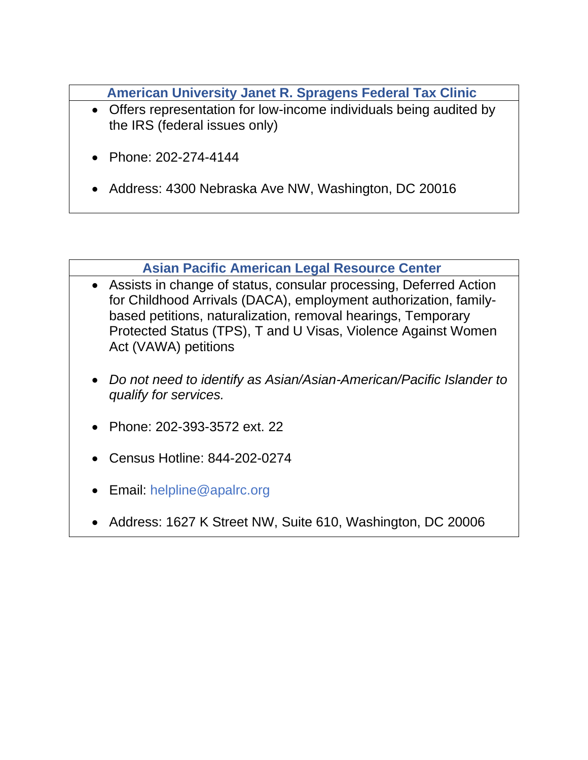**[American University Janet R. Spragens Federal Tax Clinic](https://www.wcl.american.edu/academics/experientialedu/clinical/theclinics/federal-tax/)**

- <span id="page-18-1"></span>• Offers representation for low-income individuals being audited by the IRS (federal issues only)
- Phone: 202-274-4144
- Address: 4300 Nebraska Ave NW, Washington, DC 20016

#### **[Asian Pacific American Legal Resource Center](http://www.apalrc.org/)**

- <span id="page-18-0"></span>• Assists in change of status, consular processing, Deferred Action for Childhood Arrivals (DACA), employment authorization, familybased petitions, naturalization, removal hearings, Temporary Protected Status (TPS), T and U Visas, Violence Against Women Act (VAWA) petitions
- *Do not need to identify as Asian/Asian-American/Pacific Islander to qualify for services.*
- Phone: 202-393-3572 ext. 22
- Census Hotline: 844-202-0274
- Email: [helpline@apalrc.org](mailto:helpline@apalrc.org)
- Address: 1627 K Street NW, Suite 610, Washington, DC 20006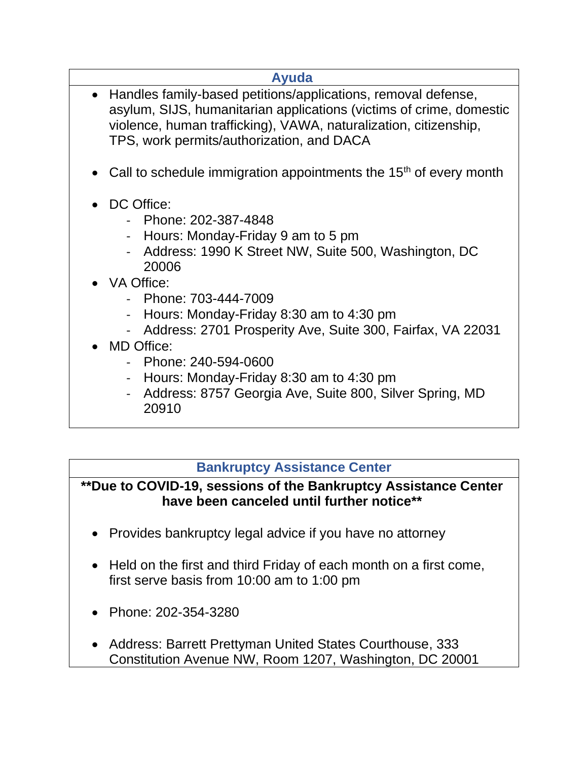<span id="page-19-0"></span>

| Ayuda                                                                                                                                                                                                                                                   |
|---------------------------------------------------------------------------------------------------------------------------------------------------------------------------------------------------------------------------------------------------------|
| • Handles family-based petitions/applications, removal defense,<br>asylum, SIJS, humanitarian applications (victims of crime, domestic<br>violence, human trafficking), VAWA, naturalization, citizenship,<br>TPS, work permits/authorization, and DACA |
| Call to schedule immigration appointments the $15th$ of every month                                                                                                                                                                                     |
| DC Office:<br>- Phone: 202-387-4848<br>Hours: Monday-Friday 9 am to 5 pm<br>Address: 1990 K Street NW, Suite 500, Washington, DC<br>20006                                                                                                               |
| • VA Office:                                                                                                                                                                                                                                            |
| - Phone: 703-444-7009                                                                                                                                                                                                                                   |
| Hours: Monday-Friday 8:30 am to 4:30 pm<br>Address: 2701 Prosperity Ave, Suite 300, Fairfax, VA 22031                                                                                                                                                   |
| MD Office:                                                                                                                                                                                                                                              |
| - Phone: 240-594-0600                                                                                                                                                                                                                                   |
| Hours: Monday-Friday 8:30 am to 4:30 pm                                                                                                                                                                                                                 |
| Address: 8757 Georgia Ave, Suite 800, Silver Spring, MD                                                                                                                                                                                                 |

20910

## **[Bankruptcy Assistance Center](http://www.dcb.uscourts.gov/bankruptcy-assistance-center)**

<span id="page-19-1"></span>**\*\*Due to COVID-19, sessions of the Bankruptcy Assistance Center have been canceled until further notice\*\***

- Provides bankruptcy legal advice if you have no attorney
- Held on the first and third Friday of each month on a first come, first serve basis from 10:00 am to 1:00 pm
- Phone: 202-354-3280
- Address: Barrett Prettyman United States Courthouse, 333 Constitution Avenue NW, Room 1207, Washington, DC 20001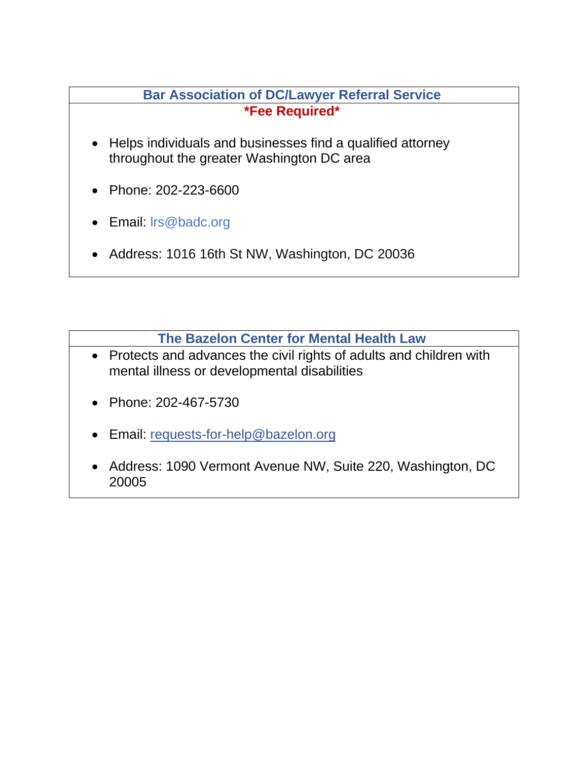#### **[Bar Association of DC/Lawyer Referral Service](https://www.badc.org/lawyer-referral-service#/) \*Fee Required\***

- <span id="page-20-0"></span>• Helps individuals and businesses find a qualified attorney throughout the greater Washington DC area
- Phone: 202-223-6600
- Email: [lrs@badc.org](mailto:lrs@badc.org)
- Address: 1016 16th St NW, Washington, DC 20036

**[The Bazelon Center for Mental Health Law](http://www.bazelon.org/)**

- <span id="page-20-1"></span>• Protects and advances the civil rights of adults and children with mental illness or developmental disabilities
- Phone: 202-467-5730
- Email: [requests-for-help@bazelon.org](https://legalaiddc-my.sharepoint.com/personal/kdelima_legalaiddc_org/Documents/requests-for-help@bazelon.org)
- Address: 1090 Vermont Avenue NW, Suite 220, Washington, DC 20005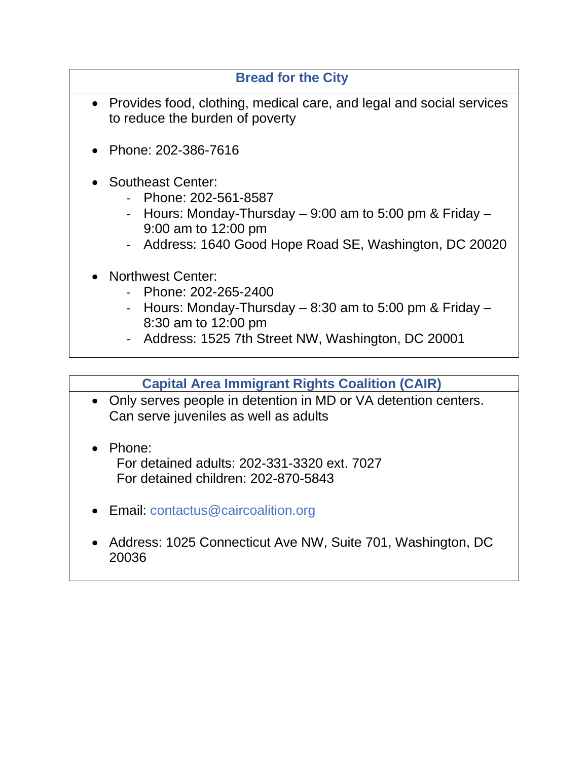#### **[Bread for the City](https://breadforthecity.org/)**

- <span id="page-21-0"></span>• Provides food, clothing, medical care, and legal and social services to reduce the burden of poverty
- Phone: 202-386-7616
- Southeast Center:
	- Phone: 202-561-8587
	- Hours: Monday-Thursday  $-9:00$  am to 5:00 pm & Friday  $-$ 9:00 am to 12:00 pm
	- Address: 1640 Good Hope Road SE, Washington, DC 20020
- Northwest Center:
	- Phone: [202-265-2400](tel:202-265-2400)
	- Hours: Monday-Thursday  $-8:30$  am to 5:00 pm & Friday  $-$ 8:30 am to 12:00 pm
	- Address: 1525 7th Street NW, Washington, DC 20001

#### **[Capital Area Immigrant Rights Coalition \(CAIR\)](https://www.caircoalition.org/)**

- <span id="page-21-1"></span>• Only serves people in detention in MD or VA detention centers. Can serve juveniles as well as adults
- Phone:

 For detained adults: 202-331-3320 ext. 7027 For detained children: 202-870-5843

- Email: [contactus@caircoalition.org](mailto:contactus@caircoalition.org)
- Address: 1025 Connecticut Ave NW, Suite 701, Washington, DC 20036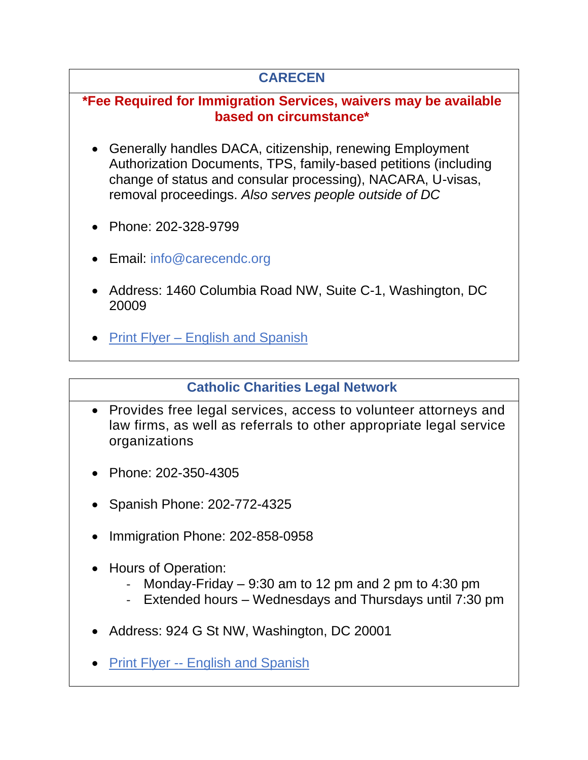## **[CARECEN](http://carecendc.org/)**

## <span id="page-22-1"></span>**\*Fee Required for Immigration Services, waivers may be available based on circumstance\***

- Generally handles DACA, citizenship, renewing Employment Authorization Documents, TPS, family-based petitions (including change of status and consular processing), NACARA, U-visas, removal proceedings. *Also serves people outside of DC*
- Phone: 202-328-9799
- Email: [info@carecendc.org](mailto:info@carecendc.org)
- Address: 1460 Columbia Road NW, Suite C-1, Washington, DC 20009
- Print Flyer [English and Spanish](https://legalaiddc.sharepoint.com/:b:/s/Shared/EXdQQyx00axEtcE3ZyImFIcBJL6WBxwQ43Bkl5NL1OX5hQ?e=sJl0Ru)

#### **[Catholic Charities Legal Network](https://www.catholiccharitiesdc.org/legalnetwork/)**

- <span id="page-22-0"></span>• Provides free legal services, access to volunteer attorneys and law firms, as well as referrals to other appropriate legal service organizations
- Phone: 202-350-4305
- Spanish Phone: 202-772-4325
- Immigration Phone: 202-858-0958
- Hours of Operation:
	- Monday-Friday  $-9:30$  am to 12 pm and 2 pm to 4:30 pm
	- Extended hours Wednesdays and Thursdays until 7:30 pm
- Address: 924 G St NW, Washington, DC 20001
- Print Flyer -- [English and Spanish](https://legalaiddc.sharepoint.com/:b:/s/Shared/EZW2P32tPSFPhZ3tdMmDlsUBety_SptvUfWqsWTdRIUzQw?e=wv7NPl)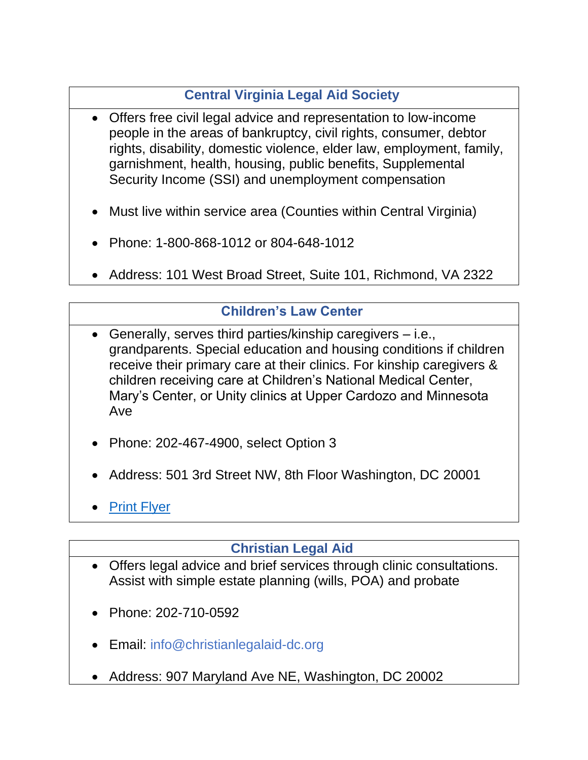# **[Central Virginia Legal Aid Society](https://cvlas.org/)**

- <span id="page-23-0"></span>• Offers free civil legal advice and representation to low-income people in the areas of bankruptcy, civil rights, consumer, debtor rights, disability, domestic violence, elder law, employment, family, garnishment, health, housing, public benefits, Supplemental Security Income (SSI) and unemployment compensation
- Must live within service area (Counties within Central Virginia)
- Phone: 1-800-868-1012 or 804-648-1012
- Address: 101 West Broad Street, Suite 101, Richmond, VA 2322

## **[Children's Law Center](https://www.childrenslawcenter.org/)**

- <span id="page-23-1"></span>• Generally, serves third parties/kinship caregivers – i.e., grandparents. Special education and housing conditions if children receive their primary care at their clinics. For kinship caregivers & children receiving care at Children's National Medical Center, Mary's Center, or Unity clinics at Upper Cardozo and Minnesota Ave
- Phone: 202-467-4900, select Option 3
- Address: 501 3rd Street NW, 8th Floor Washington, DC 20001
- [Print Flyer](https://legalaiddc.sharepoint.com/:b:/s/Shared/EX_PaVPY2tpNiy-DhHRb7W0BoKWQHDV7xS1AXQ73vGFOfA?e=H2kp5q)

#### **[Christian Legal Aid](https://www.christianlegalaid-dc.org/)**

- <span id="page-23-2"></span>• Offers legal advice and brief services through clinic consultations. Assist with simple estate planning (wills, POA) and probate
- Phone: 202-710-0592
- Email: [info@christianlegalaid-dc.org](mailto:info@christianlegalaid-dc.org)
- Address: 907 Maryland Ave NE, Washington, DC 20002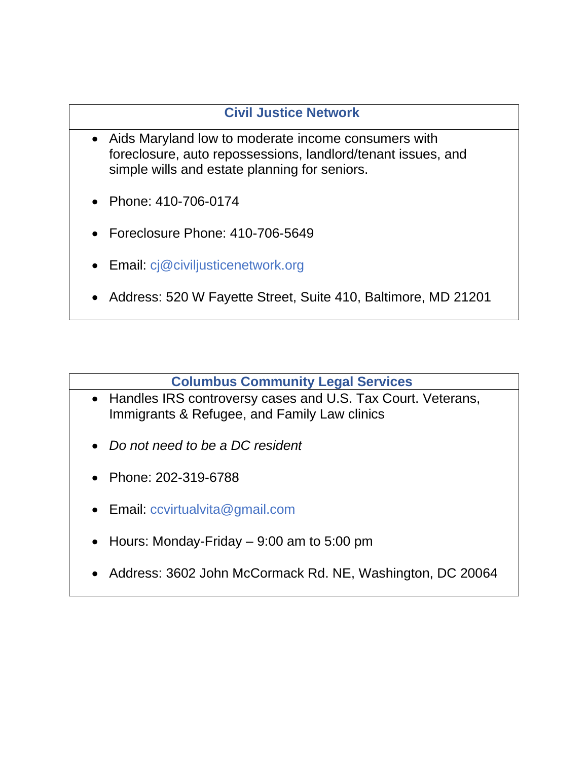## **[Civil Justice Network](http://www.civiljusticenetwork.org/)**

- <span id="page-24-0"></span>• Aids Maryland low to moderate income consumers with foreclosure, auto repossessions, landlord/tenant issues, and simple wills and estate planning for seniors.
- Phone: 410-706-0174
- Foreclosure Phone: 410-706-5649
- Email: [cj@civiljusticenetwork.org](mailto:cj@civiljusticenetwork.org)
- Address: 520 W Fayette Street, Suite 410, Baltimore, MD 21201

#### **[Columbus Community Legal Services](https://www.law.edu/academics/legal-externships-and-clinics/clinics/columbus-community-legal-services/index.html)**

- <span id="page-24-1"></span>• Handles IRS controversy cases and U.S. Tax Court. Veterans, Immigrants & Refugee, and Family Law clinics
- *Do not need to be a DC resident*
- Phone: 202-319-6788
- Email: [ccvirtualvita@gmail.com](mailto:ccvirtualvita@gmail.com)
- Hours: Monday-Friday 9:00 am to 5:00 pm
- Address: 3602 John McCormack Rd. NE, Washington, DC 20064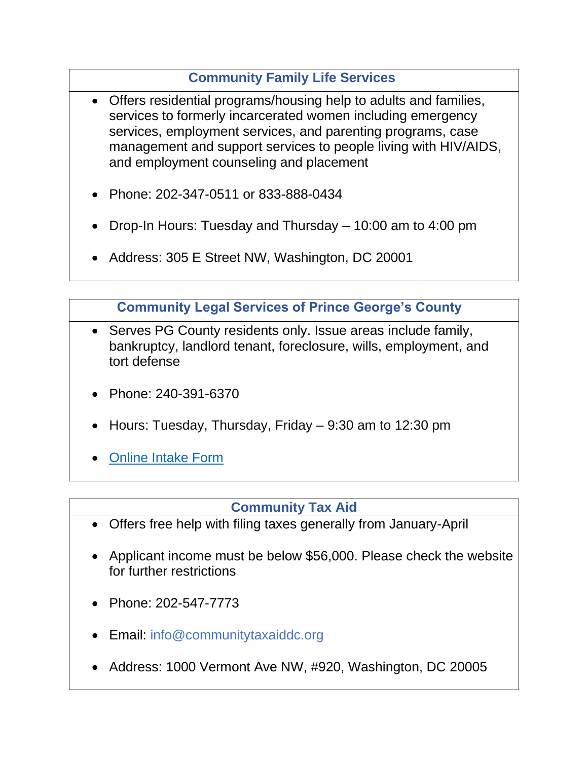## **[Community Family Life Services](https://www.cflsdc.org/)**

- <span id="page-25-1"></span>• Offers residential programs/housing help to adults and families, services to formerly incarcerated women including emergency services, employment services, and parenting programs, case management and support services to people living with HIV/AIDS, and employment counseling and placement
- Phone: 202-347-0511 or 833-888-0434
- Drop-In Hours: Tuesday and Thursday 10:00 am to 4:00 pm
- Address: 305 E Street NW, Washington, DC 20001

**[Community Legal Services of Prince George's County](http://clspgc.org/)**

- <span id="page-25-0"></span>• Serves PG County residents only. Issue areas include family, bankruptcy, landlord tenant, foreclosure, wills, employment, and tort defense
- Phone: 240-391-6370
- Hours: Tuesday, Thursday, Friday 9:30 am to 12:30 pm
- [Online Intake Form](https://www.legal-trak.com/CaseManagement/OnlineInTake/OnlineInTake/3?skipPayment=true)

#### **[Community Tax Aid](http://www.communitytaxaiddc.org/)**

- <span id="page-25-2"></span>• Offers free help with filing taxes generally from January-April
- Applicant income must be below \$56,000. Please check the website for further restrictions
- Phone: 202-547-7773
- Email: [info@communitytaxaiddc.org](mailto:info@communitytaxaiddc.org)
- Address: 1000 Vermont Ave NW, #920, Washington, DC 20005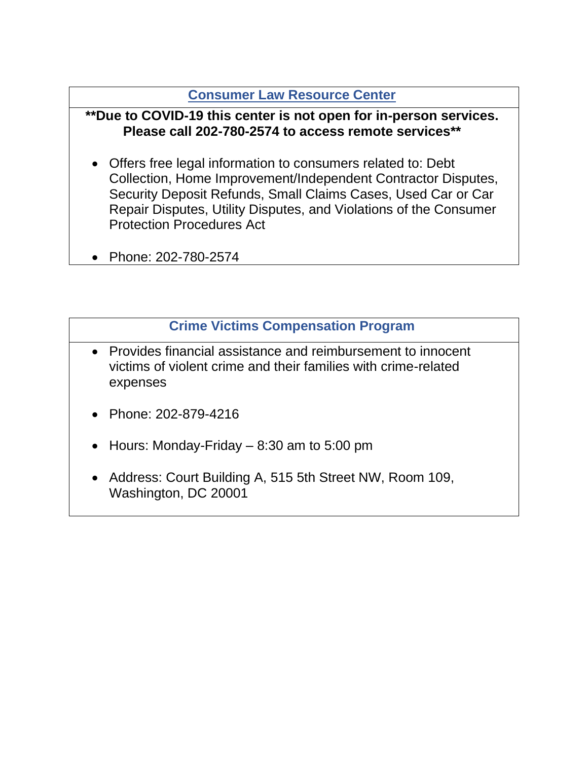#### **[Consumer Law Resource Center](https://www.dcbar.org/pro-bono/free-legal-help/help-for-individuals/consumer-law-resource-center)**

#### <span id="page-26-0"></span>**\*\*Due to COVID-19 this center is not open for in-person services. Please call 202-780-2574 to access remote services\*\***

- Offers free legal information to consumers related to: Debt Collection, Home Improvement/Independent Contractor Disputes, Security Deposit Refunds, Small Claims Cases, Used Car or Car Repair Disputes, Utility Disputes, and Violations of the Consumer Protection Procedures Act
- Phone: 202-780-2574

#### **[Crime Victims Compensation Program](https://www.dccourts.gov/services/crime-victims-compensation-matters)**

- Provides financial assistance and reimbursement to innocent victims of violent crime and their families with crime-related expenses
- Phone: 202-879-4216
- Hours: Monday-Friday  $-8:30$  am to 5:00 pm
- Address: Court Building A, 515 5th Street NW, Room 109, Washington, DC 20001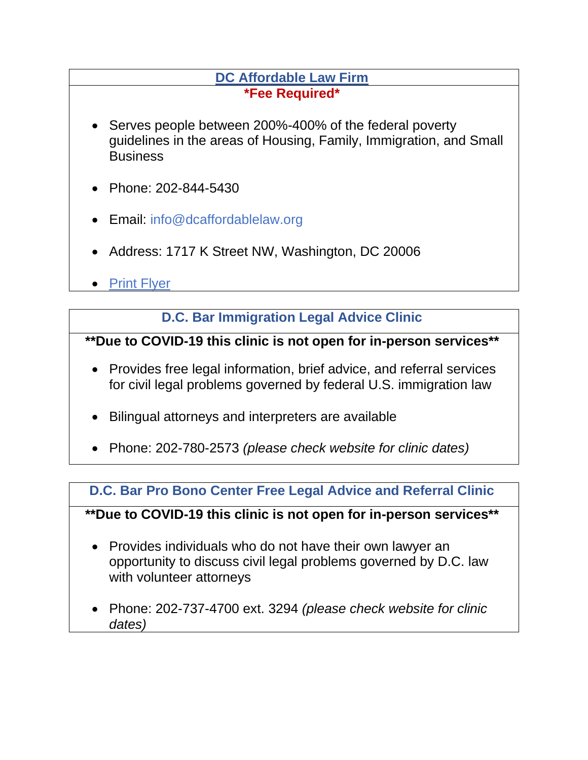#### **[DC Affordable Law Firm](http://dcaffordablelaw.org/) \*Fee Required\***

- <span id="page-27-1"></span>• Serves people between 200%-400% of the federal poverty guidelines in the areas of Housing, Family, Immigration, and Small **Business**
- Phone: 202-844-5430
- Email: [info@dcaffordablelaw.org](mailto:info@dcaffordablelaw.org)
- Address: 1717 K Street NW, Washington, DC 20006
- [Print Flyer](https://legalaiddc.sharepoint.com/:b:/s/Shared/ETGh0IGcYZJChE6gLqBr_1AB-6ZtE2wckUX8aHttUosZ5g?e=oK5MhD)

## **[D.C. Bar Immigration Legal Advice Clinic](https://www.dcbar.org/pro-bono/free-legal-help/help-for-individuals/immigration-legal-advice-clinic)**

## <span id="page-27-2"></span>**\*\*Due to COVID-19 this clinic is not open for in-person services\*\***

- Provides free legal information, brief advice, and referral services for civil legal problems governed by federal U.S. immigration law
- Bilingual attorneys and interpreters are available
- Phone: 202-780-2573 *(please check website for clinic dates)*

#### <span id="page-27-0"></span>**[D.C. Bar Pro Bono Center Free Legal Advice and Referral Clinic](https://www.dcbar.org/pro-bono/free-legal-help/help-for-individuals/advice-referral-clinic)**

**\*\*Due to COVID-19 this clinic is not open for in-person services\*\***

- Provides individuals who do not have their own lawyer an opportunity to discuss civil legal problems governed by D.C. law with volunteer attorneys
- Phone: 202-737-4700 ext. 3294 *(please check website for clinic dates)*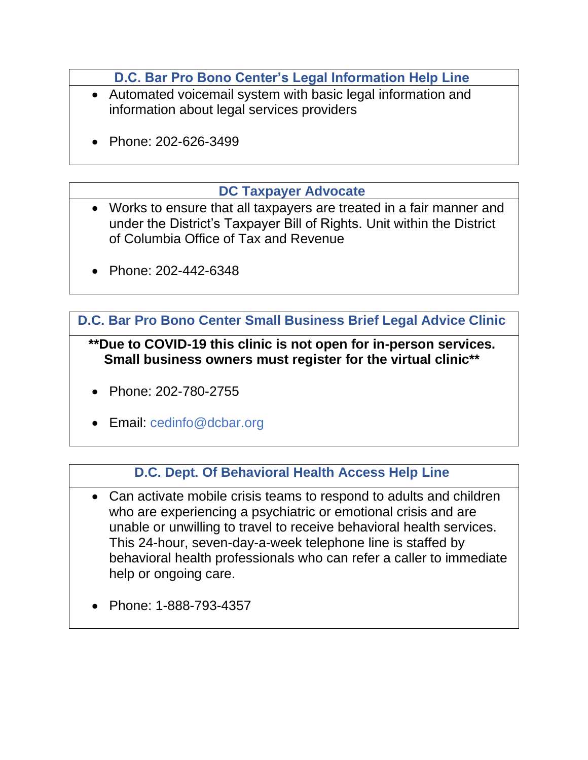**[D.C. Bar Pro Bono Center's Legal Information Help Line](https://www.dcbar.org/pro-bono/what-we-do/legal-information-help-line)**

- <span id="page-28-0"></span>• Automated voicemail system with basic legal information and information about legal services providers
- Phone: 202-626-3499

#### **[DC Taxpayer Advocate](https://taxpayeradvocate.dc.gov/)**

- <span id="page-28-3"></span>• Works to ensure that all taxpayers are treated in a fair manner and under the District's Taxpayer Bill of Rights. Unit within the District of Columbia Office of Tax and Revenue
- Phone: 202-442-6348

<span id="page-28-2"></span>**[D.C. Bar Pro Bono Center Small Business Brief Legal Advice Clinic](https://www.dcbar.org/pro-bono/free-legal-help/help-for-small-businesses)**

**\*\*Due to COVID-19 this clinic is not open for in-person services. Small business owners must register for the virtual clinic\*\***

- Phone: 202-780-2755
- Email: [cedinfo@dcbar.org](mailto:E-mail:cedinfo@dcbar.org)

# **[D.C. Dept. Of Behavioral Health Access Help Line](https://dbh.dc.gov/service/access-helpline#:~:text=The%20Access%20HelpLine%20at%201,certified%20behavioral%20health%20care%20providers.)**

- <span id="page-28-1"></span>• Can activate mobile crisis teams to respond to adults and children who are experiencing a psychiatric or emotional crisis and are unable or unwilling to travel to receive behavioral health services. This 24-hour, seven-day-a-week telephone line is staffed by behavioral health professionals who can refer a caller to immediate help or ongoing care.
- Phone: 1-888-793-4357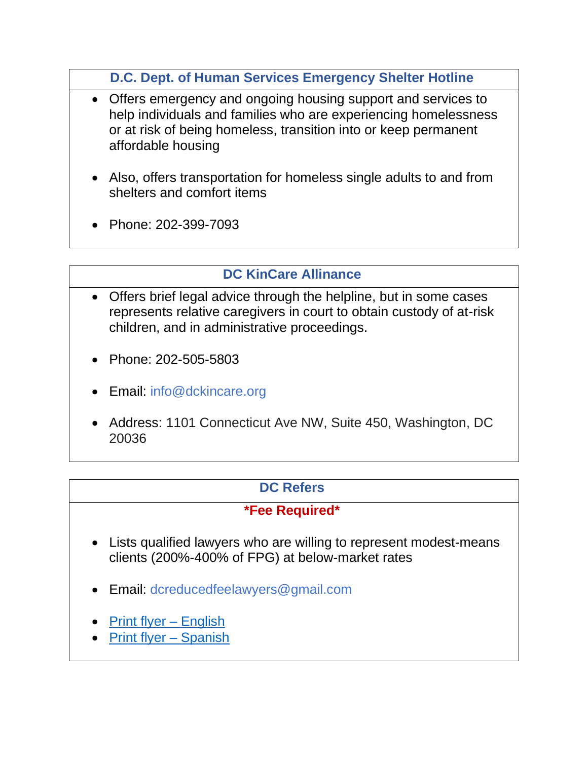**[D.C. Dept. of Human Services Emergency Shelter Hotline](https://dhs.dc.gov/service/emergency-shelter)**

- <span id="page-29-1"></span>• Offers emergency and ongoing housing support and services to help individuals and families who are experiencing homelessness or at risk of being homeless, transition into or keep permanent affordable housing
- Also, offers transportation for homeless single adults to and from shelters and comfort items
- Phone: 202-399-7093

## **[DC KinCare Allinance](https://www.dckincare.org/)**

- <span id="page-29-2"></span>• Offers brief legal advice through the helpline, but in some cases represents relative caregivers in court to obtain custody of at-risk children, and in administrative proceedings.
- Phone: 202-505-5803
- Email: [info@dckincare.org](mailto:info@dckincare.org)
- Address: 1101 Connecticut Ave NW, Suite 450, Washington, DC 20036

# **[DC Refers](https://dcrefers.org/)**

## **\*Fee Required\***

- <span id="page-29-0"></span>• Lists qualified lawyers who are willing to represent modest-means clients (200%-400% of FPG) at below-market rates
- Email: [dcreducedfeelawyers@gmail.com](mailto:dcreducedfeelawyers@gmail.com)
- [Print flyer](https://legalaiddc.sharepoint.com/:b:/s/Shared/EcPh16m5_zJFix92AvRibW8BK2NCmSlQK34Np-V0aeetXw?e=Yi08bR) English
- [Print flyer](https://legalaiddc.sharepoint.com/:b:/s/Shared/EbArWrCMdK1KthpJ0l7xGdsBUsPa-ebXy-ASe5cpHMUXvQ?e=NKMGdn) Spanish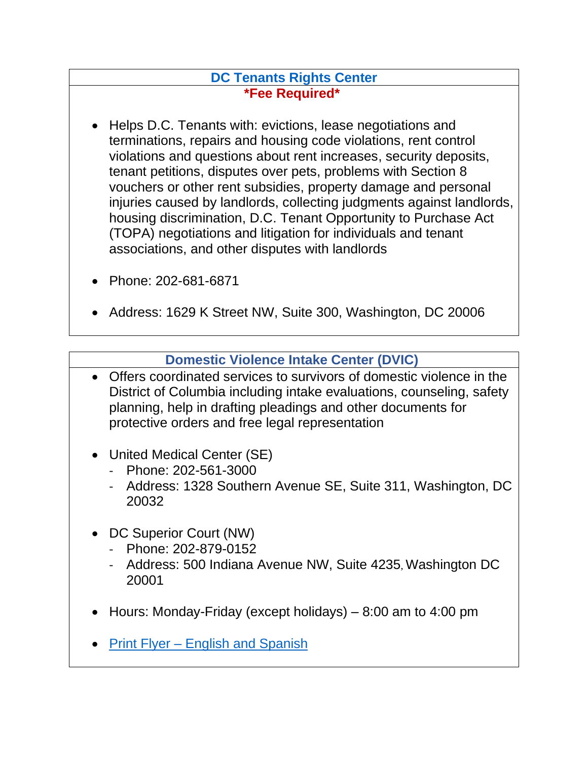#### **[DC Tenants Rights Center](https://dctenants.com/) \*Fee Required\***

- <span id="page-30-1"></span>• Helps D.C. Tenants with: evictions, lease negotiations and terminations, repairs and housing code violations, rent control violations and questions about rent increases, security deposits, tenant petitions, disputes over pets, problems with Section 8 vouchers or other rent subsidies, property damage and personal injuries caused by landlords, collecting judgments against landlords, housing discrimination, D.C. Tenant Opportunity to Purchase Act (TOPA) negotiations and litigation for individuals and tenant associations, and other disputes with landlords
- Phone: 202-681-6871
- Address: 1629 K Street NW, Suite 300, Washington, DC 20006

## **[Domestic Violence Intake Center \(DVIC\)](https://mpdc.dc.gov/page/domestic-violence-intake-center)**

- <span id="page-30-0"></span>• Offers coordinated services to survivors of domestic violence in the District of Columbia including intake evaluations, counseling, safety planning, help in drafting pleadings and other documents for protective orders and free legal representation
- United Medical Center (SE)
	- Phone: 202-561-3000
	- Address: 1328 Southern Avenue SE, Suite 311, Washington, DC 20032
- DC Superior Court (NW)
	- Phone: 202-879-0152
	- Address: 500 Indiana Avenue NW, Suite 4235, Washington DC 20001
- Hours: Monday-Friday (except holidays)  $-8:00$  am to 4:00 pm
- Print Flyer English and Spanish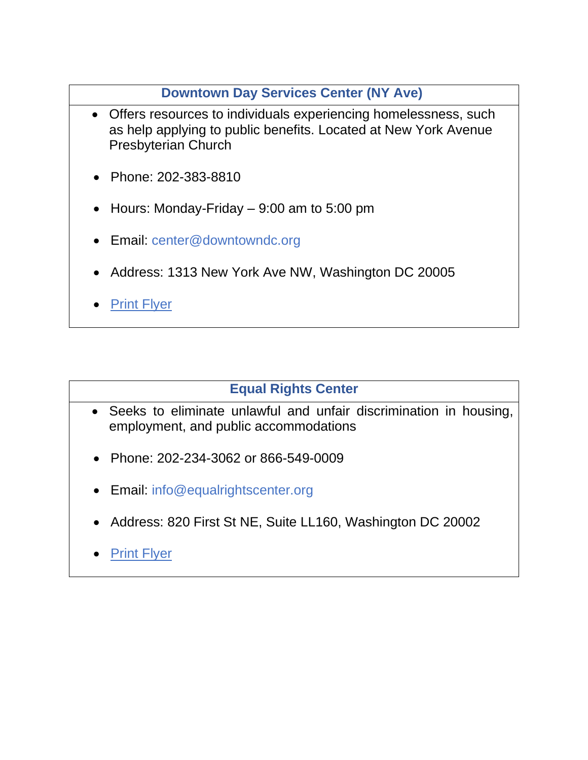#### **[Downtown Day Services Center \(NY Ave\)](https://www.downtowndc.org/program/the-center/)**

- <span id="page-31-0"></span>• Offers resources to individuals experiencing homelessness, such as help applying to public benefits. Located at New York Avenue Presbyterian Church
- Phone: 202-383-8810
- Hours: Monday-Friday  $-9:00$  am to 5:00 pm
- Email: [center@downtowndc.org](mailto:center@downtowndc.org)
- Address: 1313 New York Ave NW, Washington DC 20005
- [Print Flyer](https://legalaiddc.sharepoint.com/:b:/s/Shared/EYHaRpWyz3RNrKRA94QaIBYBBFBSuvHuH7avDYaqNFsnsw?e=7sVLdE)

#### **[Equal Rights Center](https://equalrightscenter.org/)**

- <span id="page-31-1"></span>• Seeks to eliminate unlawful and unfair discrimination in housing, employment, and public accommodations
- Phone: 202-234-3062 or 866-549-0009
- Email: [info@equalrightscenter.org](mailto:info@equalrightscenter.org)
- Address: 820 First St NE, Suite LL160, Washington DC 20002
- [Print Flyer](https://legalaiddc.sharepoint.com/sites/Shared/Documents/Forms/File%20Size.aspx?FolderCTID=0x0120008FA5B0DA2D7C7E46A2B7747600643241&id=%2Fsites%2FShared%2FDocuments%2FReferral%20List%20Documents%2FEqual%20Rights%20Center%2D%20Fair%20Housing%2Epdf&parent=%2Fsites%2FShared%2FDocuments%2FReferral%20List%20Documents)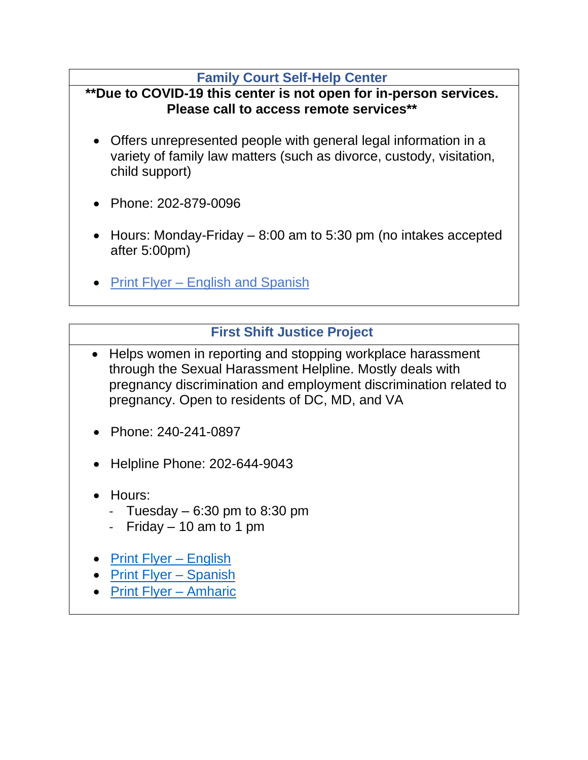#### **[Family Court Self-Help Center](https://www.dccourts.gov/services/family-matters/self-help-center)**

#### <span id="page-32-0"></span>**\*\*Due to COVID-19 this center is not open for in-person services. Please call to access remote services\*\***

- Offers unrepresented people with general legal information in a variety of family law matters (such as divorce, custody, visitation, child support)
- Phone: 202-879-0096
- Hours: Monday-Friday 8:00 am to 5:30 pm (no intakes accepted after 5:00pm)
- Print Flyer [English and Spanish](https://legalaiddc.sharepoint.com/sites/Shared/Documents/Referral%20List%20Documents/Family%20Court%20Self-Help%20Center%20ENG%20AND%20SPAN.pdf)

## **[First Shift Justice Project](http://www.firstshift.org/)**

- <span id="page-32-1"></span>• Helps women in reporting and stopping workplace harassment through the Sexual Harassment Helpline. Mostly deals with pregnancy discrimination and employment discrimination related to pregnancy. Open to residents of DC, MD, and VA
- Phone: 240-241-0897
- Helpline Phone: 202-644-9043
- Hours:
	- Tuesday  $-6:30$  pm to 8:30 pm
	- Friday  $-10$  am to 1 pm
- [Print Flyer –](https://legalaiddc.sharepoint.com/sites/Shared/Documents/Referral%20List%20Documents/First%20Shift-%20FMLA,%20Pregnancy,%20Family%20Discrimination.pdf) English
- [Print Flyer –](https://legalaiddc.sharepoint.com/sites/Shared/Documents/Referral%20List%20Documents/First%20Shift-%20FMLA,%20etc%20SPANISH.pdf?CT=1638284981548&OR=ItemsView) Spanish
- [Print Flyer –](https://legalaiddc.sharepoint.com/sites/Shared/Documents/Referral%20List%20Documents/First%20Shift-%20FMLA,%20etc%20AMHARIC.pdf?CT=1638284957270&OR=ItemsView) Amharic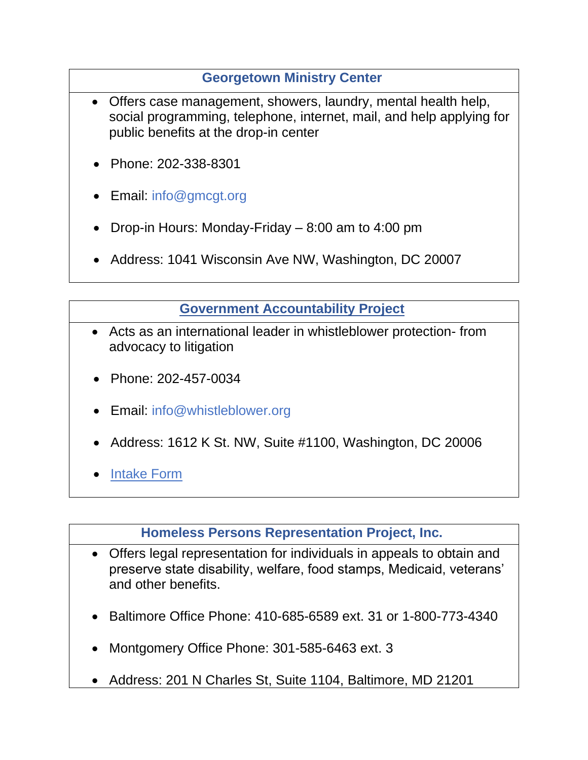## **[Georgetown Ministry Center](https://georgetownministrycenter.org/)**

- <span id="page-33-2"></span>• Offers case management, showers, laundry, mental health help, social programming, telephone, internet, mail, and help applying for public benefits at the drop-in center
- Phone: 202-338-8301
- Email: [info@gmcgt.org](mailto:info@gmcgt.org)
- Drop-in Hours: Monday-Friday 8:00 am to 4:00 pm
- Address: 1041 Wisconsin Ave NW, Washington, DC 20007

## **[Government Accountability Project](https://www.whistleblower.org/)**

- <span id="page-33-1"></span>• Acts as an international leader in whistleblower protection- from advocacy to litigation
- Phone: 202-457-0034
- Email: [info@whistleblower.org](mailto:info@whistleblower.org)
- Address: 1612 K St. NW, Suite #1100, Washington, DC 20006
- [Intake Form](https://www.surveymonkey.com/r/VSX2W5Z)

**[Homeless Persons Representation Project, Inc.](http://hprplaw.org/)**

- <span id="page-33-0"></span>• Offers legal representation for individuals in appeals to obtain and preserve state disability, welfare, food stamps, Medicaid, veterans' and other benefits.
- Baltimore Office Phone: 410-685-6589 ext. 31 or 1-800-773-4340
- Montgomery Office Phone: 301-585-6463 ext. 3
- Address: 201 N Charles St, Suite 1104, Baltimore, MD 21201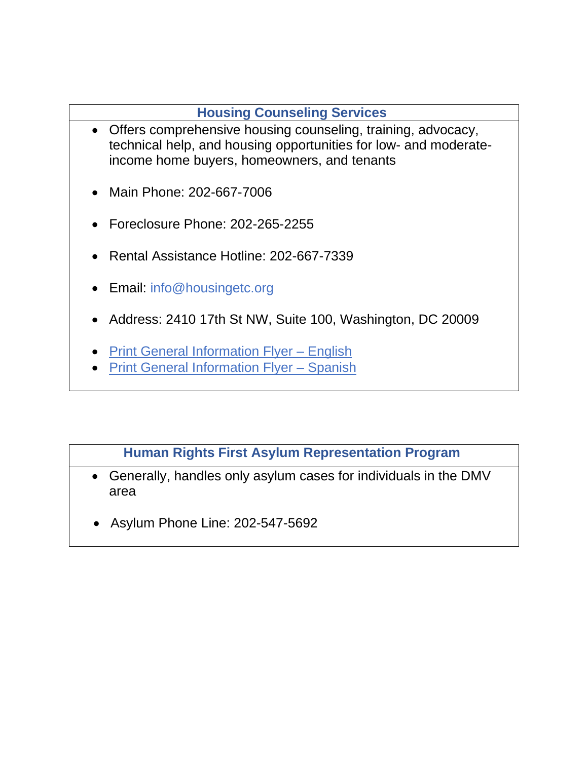## **[Housing Counseling Services](https://washington.dc.networkofcare.org/mh/services/agency.aspx?pid=HousingCounselingServices_2_1347_1)**

- <span id="page-34-0"></span>• Offers comprehensive housing counseling, training, advocacy, technical help, and housing opportunities for low- and moderateincome home buyers, homeowners, and tenants
- Main Phone: 202-667-7006
- Foreclosure Phone: 202-265-2255
- Rental Assistance Hotline: 202-667-7339
- Email: [info@housingetc.org](mailto:info@housingetc.org)
- Address: 2410 17th St NW, Suite 100, Washington, DC 20009
- [Print General Information Flyer –](https://legalaiddc.sharepoint.com/sites/Shared/Documents/Referral%20List%20Documents/2012-2013%20HCS%20flyer%20FY12-13%20English.pdf?CT=1638285285962&OR=ItemsView) English
- [Print General Information Flyer –](https://legalaiddc.sharepoint.com/sites/Shared/Documents/Referral%20List%20Documents/2012-2013%20HCS%20flyer%20FY12-13%20Spanish.pdf?CT=1638285291738&OR=ItemsView) Spanish

## **[Human Rights First Asylum Representation Program](https://www.humanrightsfirst.org/asylum)**

- <span id="page-34-1"></span>• Generally, handles only asylum cases for individuals in the DMV area
- Asylum Phone Line: 202-547-5692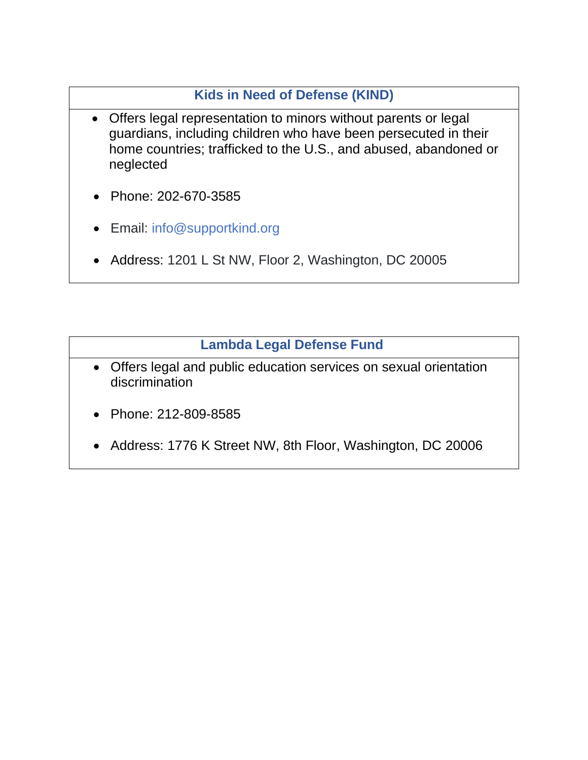## **Kids in Need of Defense (KIND)**

- <span id="page-35-1"></span>• Offers legal representation to minors without parents or legal guardians, including children who have been persecuted in their home countries; trafficked to the U.S., and abused, abandoned or neglected
- Phone: 202-670-3585
- Email: [info@supportkind.org](mailto:info@supportkind.org)
- Address: 1201 L St NW, Floor 2, Washington, DC 20005

## **[Lambda Legal Defense Fund](https://www.lambdalegal.org/?gclid=CjwKCAjwgOGCBhAlEiwA7FUXkovDtr9Wx7sToa-waVkKHqaDZsMLUQXo_5qbxW302PYjkus_nyDD8BoCpJ0QAvD_BwE)**

- <span id="page-35-0"></span>• Offers legal and public education services on sexual orientation discrimination
- Phone: 212-809-8585
- Address: 1776 K Street NW, 8th Floor, Washington, DC 20006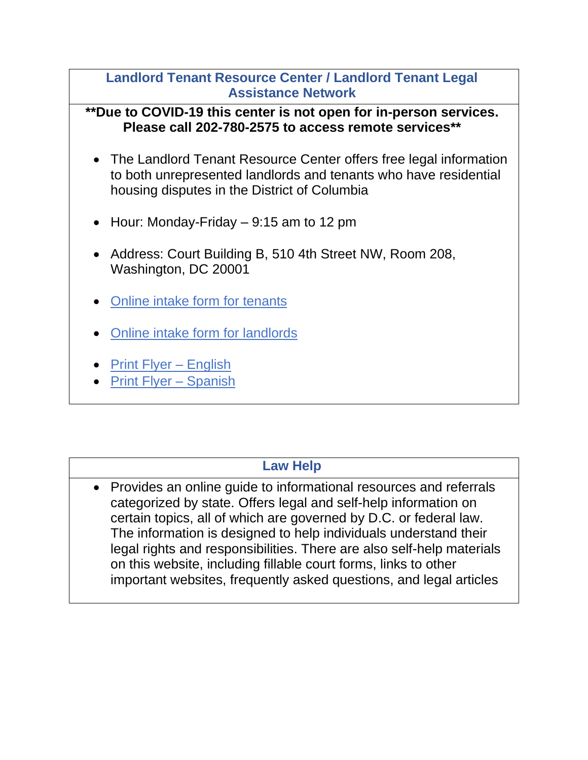#### <span id="page-36-1"></span>**[Landlord Tenant Resource Center / Landlord Tenant Legal](https://www.dcbar.org/pro-bono/free-legal-help/help-for-individuals/landlord-tenant-resource-center)  [Assistance Network](https://www.dcbar.org/pro-bono/free-legal-help/help-for-individuals/landlord-tenant-resource-center)**

**\*\*Due to COVID-19 this center is not open for in-person services. Please call 202-780-2575 to access remote services\*\***

- The Landlord Tenant Resource Center offers free legal information to both unrepresented landlords and tenants who have residential housing disputes in the District of Columbia
- Hour: Monday-Friday 9:15 am to 12 pm
- Address: Court Building B, 510 4th Street NW, Room 208, Washington, DC 20001
- [Online intake form](https://ltrc.cliogrow.com/intake/2040cf126f0dae052928fbd2234a976a) for tenants
- [Online intake form for landlords](https://ltrc.cliogrow.com/intake/b9c27bc70e7add847ca9031cd025c959)
- [Print Flyer –](https://legalaiddc.sharepoint.com/:b:/s/Shared/EW-ip1FOhipDojvQhpQ0ujIBxkLAypuAkBmIDP6XIUuigQ?e=x2dlbQ) English
- [Print Flyer –](https://legalaiddc.sharepoint.com/:b:/s/Shared/ESUmfgbw0khKoytlRAFgdycBPUrg3AgJTkPalq1prtXnRQ?e=FBoeh1) Spanish

#### **[Law Help](https://www.lawhelp.org/DC/)**

<span id="page-36-0"></span>• Provides an online guide to informational resources and referrals categorized by state. Offers legal and self-help information on certain topics, all of which are governed by D.C. or federal law. The information is designed to help individuals understand their legal rights and responsibilities. There are also self-help materials on this website, including fillable court forms, links to other important websites, frequently asked questions, and legal articles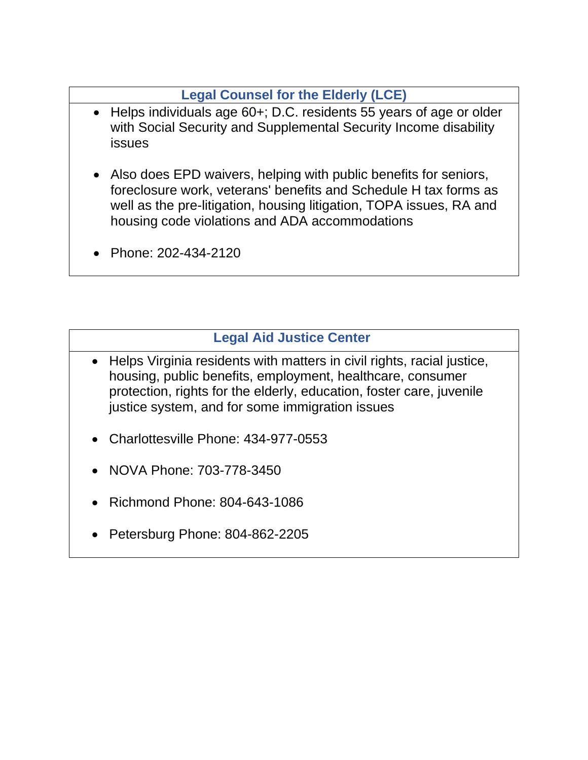## **[Legal Counsel for the Elderly \(LCE\)](https://www.aarp.org/legal-counsel-for-elderly/)**

- <span id="page-37-1"></span>• Helps individuals age 60+; D.C. residents 55 years of age or older with Social Security and Supplemental Security Income disability issues
- Also does EPD waivers, helping with public benefits for seniors, foreclosure work, veterans' benefits and Schedule H tax forms as well as the pre-litigation, housing litigation, TOPA issues, RA and housing code violations and ADA accommodations
- Phone: 202-434-2120

## **[Legal Aid Justice Center](https://www.justice4all.org/)**

- <span id="page-37-0"></span>• Helps Virginia residents with matters in civil rights, racial justice, housing, public benefits, employment, healthcare, consumer protection, rights for the elderly, education, foster care, juvenile justice system, and for some immigration issues
- Charlottesville Phone: 434-977-0553
- NOVA Phone: 703-778-3450
- Richmond Phone: 804-643-1086
- Petersburg Phone: 804-862-2205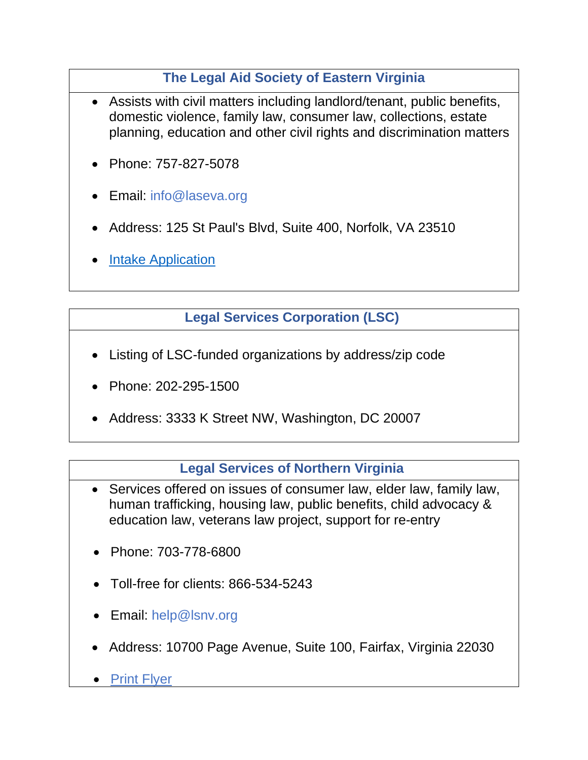## **The Legal Aid Society of Eastern Virginia**

- <span id="page-38-1"></span>Assists with civil matters including landlord/tenant, public benefits, domestic violence, family law, consumer law, collections, estate planning, education and other civil rights and discrimination matters
- Phone: 757-827-5078
- Email: [info@laseva.org](mailto:info@laseva.org)
- Address: 125 St Paul's Blvd, Suite 400, Norfolk, VA 23510
- **[Intake Application](https://laseva.kempscaseworks.com/app/intake.aspx)**

## **[Legal Services Corporation \(LSC\)](https://www.lsc.gov/)**

- <span id="page-38-2"></span>• Listing of LSC-funded organizations by address/zip code
- Phone: 202-295-1500
- Address: 3333 K Street NW, Washington, DC 20007

#### **[Legal Services of Northern Virginia](http://www.lsnv.org/)**

- <span id="page-38-0"></span>• Services offered on issues of consumer law, elder law, family law, human trafficking, housing law, public benefits, child advocacy & education law, veterans law project, support for re-entry
- Phone: 703-778-6800
- Toll-free for clients: 866-534-5243
- Email: [help@lsnv.org](mailto:help@lsnv.org)
- Address: 10700 Page Avenue, Suite 100, Fairfax, Virginia 22030
- [Print Flyer](https://legalaiddc.sharepoint.com/:b:/s/Shared/ETY3-TXH5EZPvjNH4e9Qv3YB9g82d5zlgiWk3N9gVmgeLg?e=R26oav)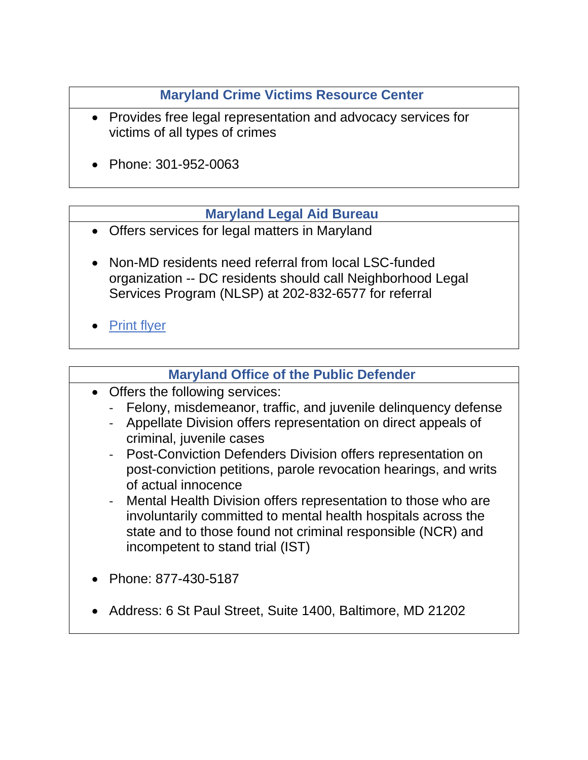## **[Maryland Crime Victims Resource Center](https://www.mdcrimevictims.org/)**

- <span id="page-39-2"></span>• Provides free legal representation and advocacy services for victims of all types of crimes
- Phone: 301-952-0063

#### **[Maryland Legal Aid Bureau](https://www.mdlab.org/)**

- <span id="page-39-0"></span>• Offers services for legal matters in Maryland
- Non-MD residents need referral from local LSC-funded organization -- DC residents should call Neighborhood Legal Services Program (NLSP) at 202-832-6577 for referral
- **[Print flyer](https://legalaiddc.sharepoint.com/:b:/s/Shared/ETVjFJbNM71Kv-9QMu0E1-ABZiz573tyD2HfoyD-7wygKA?e=tr1Npa)**

## **[Maryland Office of the Public Defender](http://www.opd.state.md.us/)**

- <span id="page-39-1"></span>• Offers the following services:
	- Felony, misdemeanor, traffic, and juvenile delinquency defense
	- Appellate Division offers representation on direct appeals of criminal, juvenile cases
	- Post-Conviction Defenders Division offers representation on post-conviction petitions, parole revocation hearings, and writs of actual innocence
	- Mental Health Division offers representation to those who are involuntarily committed to mental health hospitals across the state and to those found not criminal responsible (NCR) and incompetent to stand trial (IST)
- Phone: 877-430-5187
- Address: 6 St Paul Street, Suite 1400, Baltimore, MD 21202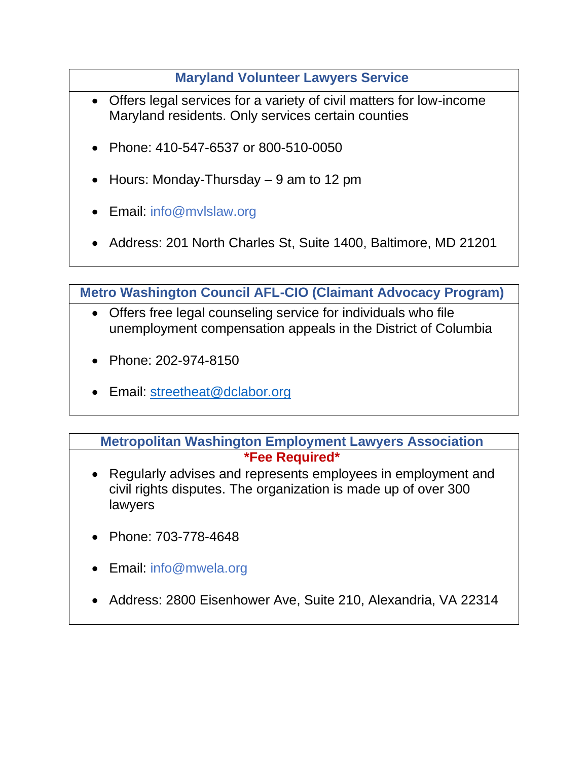#### **[Maryland Volunteer Lawyers Service](https://mvlslaw.org/)**

- <span id="page-40-0"></span>• Offers legal services for a variety of civil matters for low-income Maryland residents. Only services certain counties
- Phone: 410-547-6537 or 800-510-0050
- Hours: Monday-Thursday 9 am to 12 pm
- Email: info@mvlslaw.org
- Address: 201 North Charles St, Suite 1400, Baltimore, MD 21201

<span id="page-40-2"></span>**[Metro Washington Council AFL-CIO \(Claimant Advocacy Program\)](http://www.dclabor.org/unemployment-help.html)**

- Offers free legal counseling service for individuals who file unemployment compensation appeals in the District of Columbia
- Phone: 202-974-8150
- Email: [streetheat@dclabor.org](mailto:streetheat@dclabor.org)

<span id="page-40-1"></span>**[Metropolitan Washington Employment Lawyers Association](https://www.mwela.org/) \*Fee Required\***

- Regularly advises and represents employees in employment and civil rights disputes. The organization is made up of over 300 lawyers
- Phone: 703-778-4648
- Email: [info@mwela.org](mailto:info@mwela.org)
- Address: 2800 Eisenhower Ave, Suite 210, Alexandria, VA 22314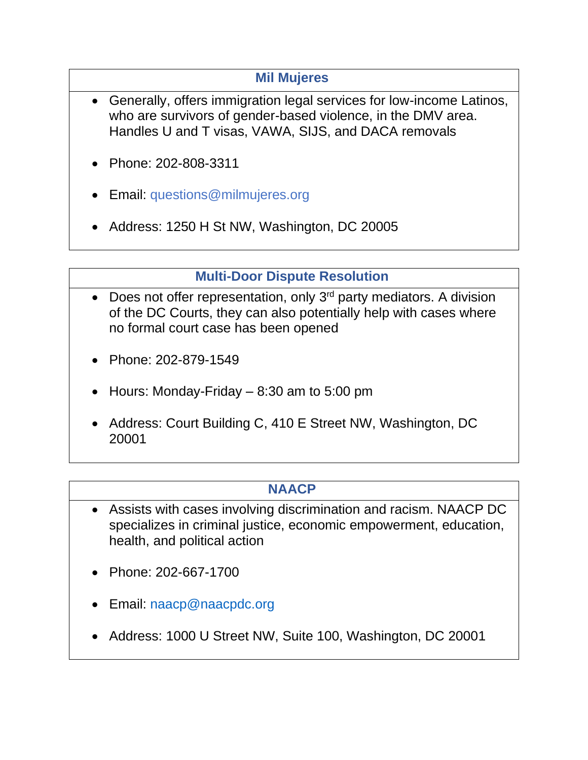#### **[Mil Mujeres](https://www.milmujeres.org/)**

- <span id="page-41-2"></span>• Generally, offers immigration legal services for low-income Latinos, who are survivors of gender-based violence, in the DMV area. Handles U and T visas, VAWA, SIJS, and DACA removals
- Phone: 202-808-3311
- Email: [questions@milmujeres.org](mailto:questions@milmujeres.org)
- Address: 1250 H St NW, Washington, DC 20005

## **[Multi-Door Dispute Resolution](https://www.dccourts.gov/superior-court/multi-door-dispute-resolution-division)**

- <span id="page-41-1"></span>• Does not offer representation, only  $3<sup>rd</sup>$  party mediators. A division of the DC Courts, they can also potentially help with cases where no formal court case has been opened
- Phone: 202-879-1549
- Hours: Monday-Friday  $-8:30$  am to 5:00 pm
- Address: Court Building C, 410 E Street NW, Washington, DC 20001

## **[NAACP](http://naacpdc.org/)**

- <span id="page-41-0"></span>• Assists with cases involving discrimination and racism. NAACP DC specializes in criminal justice, economic empowerment, education, health, and political action
- Phone: 202-667-1700
- Email: [naacp@naacpdc.org](mailto:naacp@naacpdc.org)
- Address: 1000 U Street NW, Suite 100, Washington, DC 20001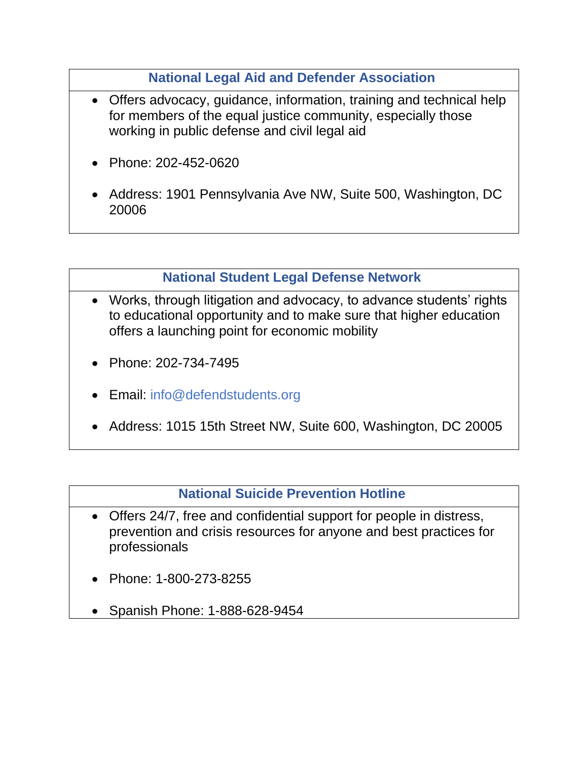#### **[National Legal Aid and Defender Association](http://www.nlada.org/)**

- <span id="page-42-0"></span>• Offers advocacy, guidance, information, training and technical help for members of the equal justice community, especially those working in public defense and civil legal aid
- Phone: 202-452-0620
- Address: 1901 Pennsylvania Ave NW, Suite 500, Washington, DC 20006

#### **[National Student Legal Defense Network](https://www.defendstudents.org/)**

- <span id="page-42-2"></span>• Works, through litigation and advocacy, to advance students' rights to educational opportunity and to make sure that higher education offers a launching point for economic mobility
- Phone: 202-734-7495
- Email: info@defendstudents.org
- Address: 1015 15th Street NW, Suite 600, Washington, DC 20005

#### **[National Suicide Prevention Hotline](https://suicidepreventionlifeline.org/)**

- <span id="page-42-1"></span>• Offers 24/7, free and confidential support for people in distress, prevention and crisis resources for anyone and best practices for professionals
- Phone: 1-800-273-8255
- Spanish Phone: 1-888-628-9454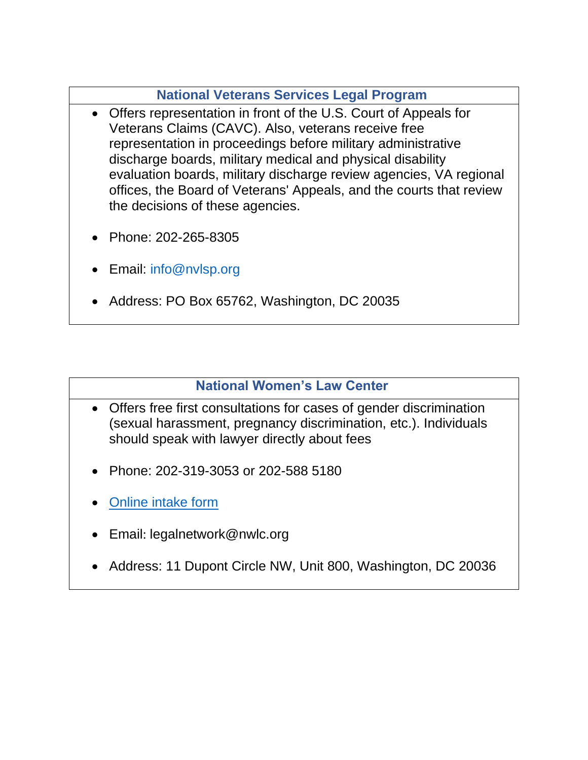#### **[National Veterans Services Legal Program](https://www.nvlsp.org/)**

- <span id="page-43-1"></span>• Offers representation in front of the U.S. Court of Appeals for Veterans Claims (CAVC). Also, veterans receive free representation in proceedings before military administrative discharge boards, military medical and physical disability evaluation boards, military discharge review agencies, VA regional offices, the Board of Veterans' Appeals, and the courts that review the decisions of these agencies.
- Phone: 202-265-8305
- Email: [info@nvlsp.org](mailto:info@nvlsp.org)
- Address: PO Box 65762, Washington, DC 20035

#### **[National Women's Law Center](https://nwlc.org/)**

- <span id="page-43-0"></span>• Offers free first consultations for cases of gender discrimination (sexual harassment, pregnancy discrimination, etc.). Individuals should speak with lawyer directly about fees
- Phone: 202-319-3053 or [202-588 5180](tel:2025885180)
- [Online intake form](https://nwlc.org/legal-assistance/)
- Email: legalnetwork@nwlc.org
- Address: 11 Dupont Circle NW, Unit 800, Washington, DC 20036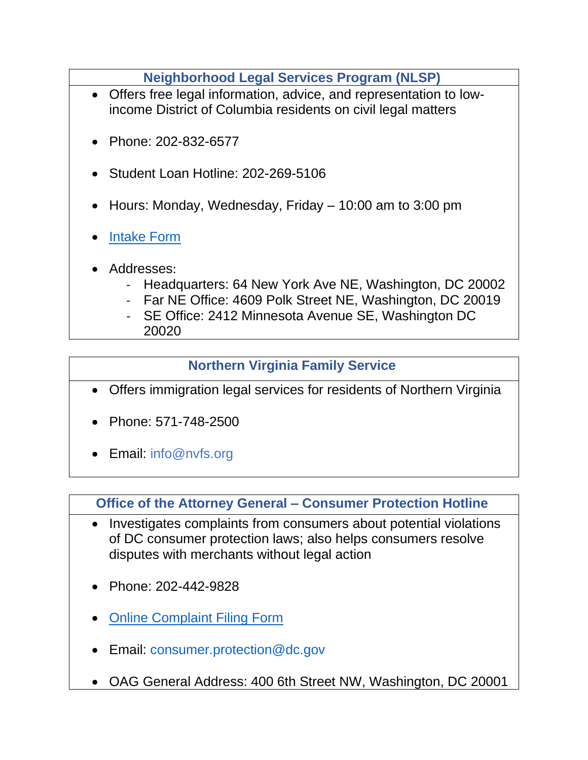**[Neighborhood Legal Services Program \(NLSP\)](http://www.nlsp.org/)**

- <span id="page-44-1"></span>• Offers free legal information, advice, and representation to lowincome District of Columbia residents on civil legal matters
- Phone: 202-832-6577
- Student Loan Hotline: 202-269-5106
- Hours: Monday, Wednesday, Friday 10:00 am to 3:00 pm
- [Intake Form](https://nlsp.kempscaseworks.com/a2j/viewer/viewer.html#!view/pages/page/1-Introduction)
- Addresses:
	- Headquarters: 64 New York Ave NE, Washington, DC 20002
	- Far NE Office: 4609 Polk Street NE, Washington, DC 20019
	- SE Office: 2412 Minnesota Avenue SE, Washington DC 20020

#### **[Northern Virginia Family Service](https://www.nvfs.org/)**

- <span id="page-44-0"></span>• Offers immigration legal services for residents of Northern Virginia
- Phone: 571-748-2500
- Email: [info@nvfs.org](mailto:info@nvfs.org)

#### <span id="page-44-2"></span>**[Office of the Attorney General –](https://oag.dc.gov/consumer-protection) Consumer Protection Hotline**

- Investigates complaints from consumers about potential violations of DC consumer protection laws; also helps consumers resolve disputes with merchants without legal action
- Phone: 202-442-9828
- [Online Complaint Filing Form](https://doag-sandbox.force.com/dcoagcomplaints/s/submit-complaint?language=en_US)
- Email: [consumer.protection@dc.gov](mailto:consumer.protection@dc.gov)
- OAG General Address: 400 6th Street NW, Washington, DC 20001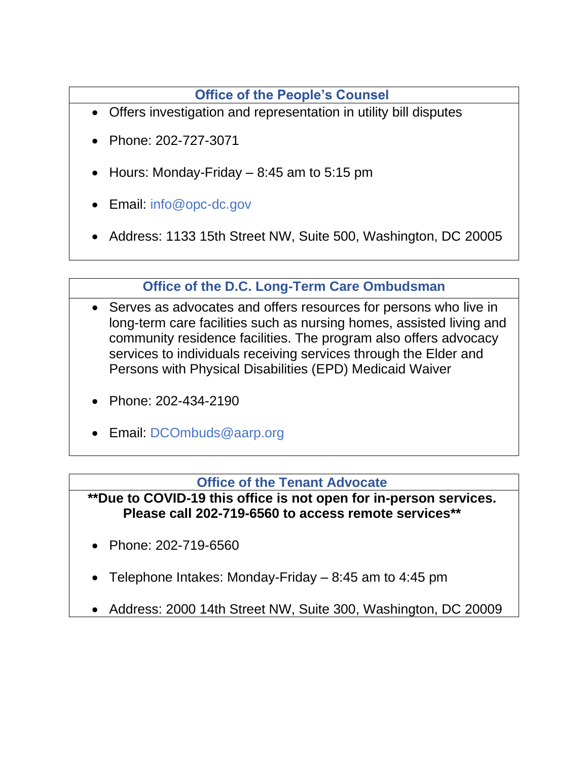**[Office of the People's Counsel](http://www.opc-dc.gov/)**

- <span id="page-45-0"></span>• Offers investigation and representation in utility bill disputes
- Phone: 202-727-3071
- Hours: Monday-Friday  $-8:45$  am to 5:15 pm
- Email: [info@opc-dc.gov](mailto:info@opc-dc.gov)
- Address: 1133 15th Street NW, Suite 500, Washington, DC 20005

## **[Office of the D.C. Long-Term Care Ombudsman](https://www.aarp.org/legal-counsel-for-elderly/what-we-do/info-2017/dc-long-term-care-ombudsman.html)**

- <span id="page-45-2"></span>• Serves as advocates and offers resources for persons who live in long-term care facilities such as nursing homes, assisted living and community residence facilities. The program also offers advocacy services to individuals receiving services through the Elder and Persons with Physical Disabilities (EPD) Medicaid Waiver
- Phone: 202-434-2190
- Email: [DCOmbuds@aarp.org](mailto:dcombuds@aarp.org)

#### **[Office of the Tenant Advocate](https://ota.dc.gov/)**

<span id="page-45-1"></span>**\*\*Due to COVID-19 this office is not open for in-person services. Please call 202-719-6560 to access remote services\*\***

- Phone: 202-719-6560
- Telephone Intakes: Monday-Friday 8:45 am to 4:45 pm
- Address: 2000 14th Street NW, Suite 300, Washington, DC 20009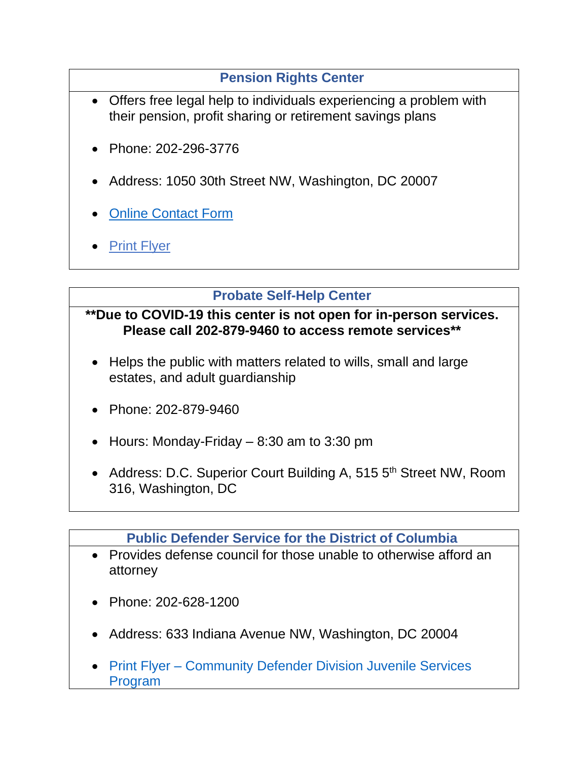## **[Pension Rights Center](http://www.pensionrights.org/)**

- <span id="page-46-2"></span>• Offers free legal help to individuals experiencing a problem with their pension, profit sharing or retirement savings plans
- Phone: 202-296-3776
- Address: 1050 30th Street NW, Washington, DC 20007
- [Online Contact Form](http://www.pensionrights.org/forms/contact-us)
- **[Print Flyer](https://legalaiddc.sharepoint.com/:b:/s/Shared/EcaETF6um_pPgWeOu31_CRsBNdNGJ6D5sxVTAaEbfHyWFQ?e=8qW3gO)**

#### **[Probate Self-Help Center](https://www.dccourts.gov/services/probate-matters/probate-self-help-center)**

#### <span id="page-46-0"></span>**\*\*Due to COVID-19 this center is not open for in-person services. Please call 202-879-9460 to access remote services\*\***

- Helps the public with matters related to wills, small and large estates, and adult guardianship
- Phone: 202-879-9460
- Hours: Monday-Friday  $-8:30$  am to 3:30 pm
- Address: D.C. Superior Court Building A, 515 5<sup>th</sup> Street NW, Room 316, Washington, DC

#### **[Public Defender Service for the District of Columbia](http://pdsdc.org/)**

- <span id="page-46-1"></span>• Provides defense council for those unable to otherwise afford an attorney
- Phone: 202-628-1200
- Address: 633 Indiana Avenue NW, Washington, DC 20004
- Print Flyer [Community Defender Division Juvenile Services](https://legalaiddc.sharepoint.com/:b:/s/Shared/EVbX_-5Sas9Mndc5q7JsjCgB76X9JEQkT27iIV_K5QAggg?e=61K3LN)  [Program](https://legalaiddc.sharepoint.com/:b:/s/Shared/EVbX_-5Sas9Mndc5q7JsjCgB76X9JEQkT27iIV_K5QAggg?e=61K3LN)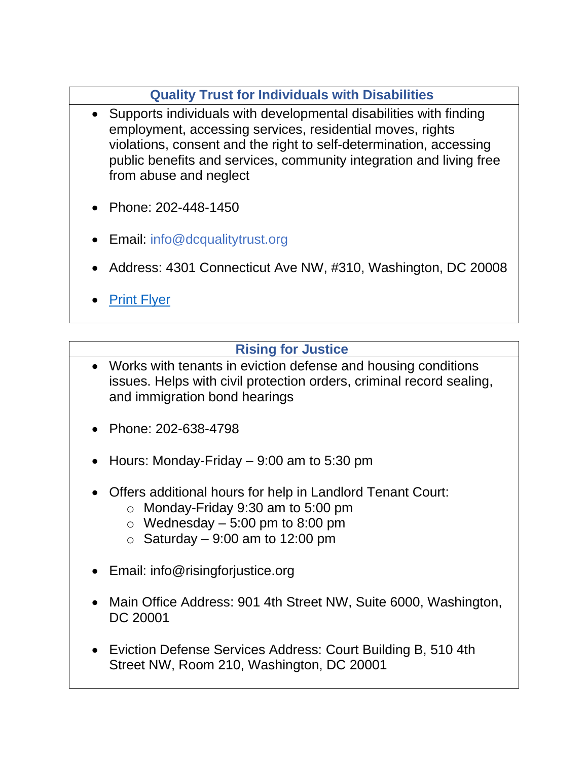## **[Quality Trust for Individuals with Disabilities](https://www.dcqualitytrust.org/)**

- <span id="page-47-1"></span>• Supports individuals with developmental disabilities with finding employment, accessing services, residential moves, rights violations, consent and the right to self-determination, accessing public benefits and services, community integration and living free from abuse and neglect
- Phone: 202-448-1450
- Email: [info@dcqualitytrust.org](mailto:info@dcqualitytrust.org)
- Address: 4301 Connecticut Ave NW, #310, Washington, DC 20008
- **[Print Flyer](https://legalaiddc.sharepoint.com/:b:/s/Shared/EeHrVu_S0GBAq4dvTARph-wBXVjpjK5B5JE2O_BgIvfCrw?e=buERBe)**

## **[Rising for Justice](https://risingforjustice.org/)**

- <span id="page-47-0"></span>• Works with tenants in eviction defense and housing conditions issues. Helps with civil protection orders, criminal record sealing, and immigration bond hearings
- Phone: 202-638-4798
- Hours: Monday-Friday  $-9:00$  am to 5:30 pm
- Offers additional hours for help in Landlord Tenant Court:
	- $\circ$  Monday-Friday 9:30 am to 5:00 pm
	- $\circ$  Wednesday 5:00 pm to 8:00 pm
	- $\circ$  Saturday 9:00 am to 12:00 pm
- Email: info@risingforjustice.org
- Main Office Address: 901 4th Street NW, Suite 6000, Washington, DC 20001
- Eviction Defense Services Address: Court Building B, 510 4th Street NW, Room 210, Washington, DC 20001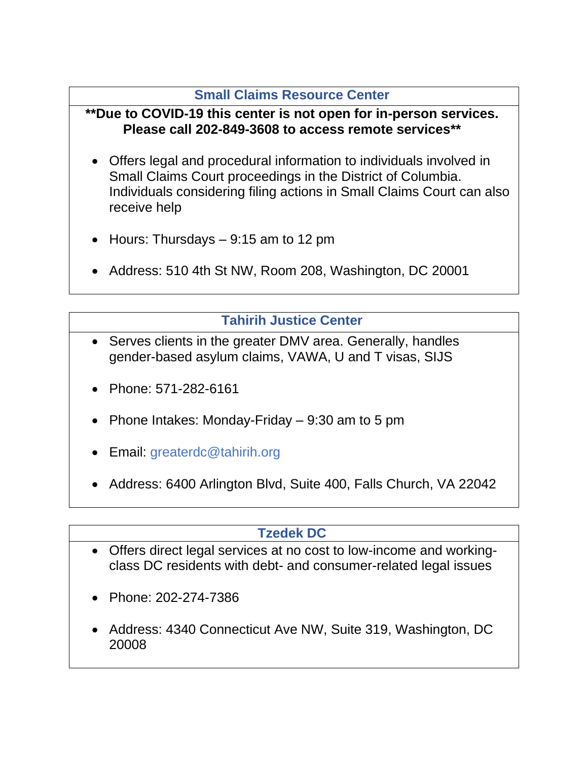#### **[Small Claims Resource Center](https://www.lawhelp.org/dc/organization/small-claims-resource-center)**

#### <span id="page-48-0"></span>**\*\*Due to COVID-19 this center is not open for in-person services. Please call 202-849-3608 to access remote services\*\***

- Offers legal and procedural information to individuals involved in Small Claims Court proceedings in the District of Columbia. Individuals considering filing actions in Small Claims Court can also receive help
- Hours: Thursdays  $-9:15$  am to 12 pm
- Address: 510 4th St NW, Room 208, Washington, DC 20001

## **[Tahirih Justice Center](https://www.tahirih.org/)**

- <span id="page-48-2"></span>Serves clients in the greater DMV area. Generally, handles gender-based asylum claims, VAWA, U and T visas, SIJS
- Phone: 571-282-6161
- Phone Intakes: Monday-Friday 9:30 am to 5 pm
- Email: greaterdc@tahirih.org
- Address: 6400 Arlington Blvd, Suite 400, Falls Church, VA 22042

## **[Tzedek DC](https://www.tzedekdc.org/)**

- <span id="page-48-1"></span>• Offers direct legal services at no cost to low-income and workingclass DC residents with debt- and consumer-related legal issues
- Phone: 202-274-7386
- Address: 4340 Connecticut Ave NW, Suite 319, Washington, DC 20008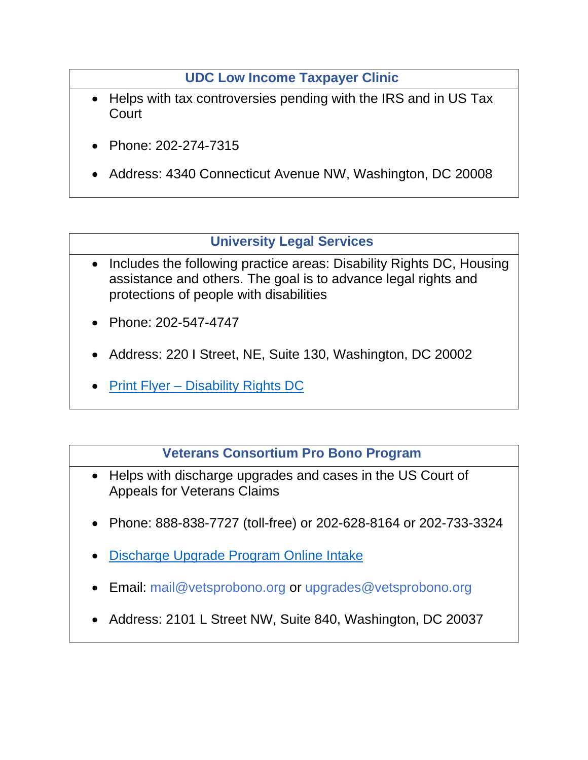**[UDC Low Income Taxpayer Clinic](https://law.udc.edu/taxclinic/)**

- <span id="page-49-1"></span>• Helps with tax controversies pending with the IRS and in US Tax **Court**
- Phone: 202-274-7315
- Address: 4340 Connecticut Avenue NW, Washington, DC 20008

## **[University Legal Services](http://www.uls-dc.org/)**

- <span id="page-49-0"></span>• Includes the following practice areas: Disability Rights DC, Housing assistance and others. The goal is to advance legal rights and protections of people with disabilities
- Phone: 202-547-4747
- Address: 220 I Street, NE, Suite 130, Washington, DC 20002
- Print Flyer [Disability Rights DC](https://legalaiddc.sharepoint.com/:b:/s/Shared/EbNeg1RfM-tLmSePgqqzAvwBFxSjWltiDRdh5VSOfNugsQ?e=OWQabw)

#### **[Veterans Consortium Pro Bono Program](https://www.vetsprobono.org/)**

- <span id="page-49-2"></span>• Helps with discharge upgrades and cases in the US Court of Appeals for Veterans Claims
- Phone: 888-838-7727 (toll-free) or 202-628-8164 or 202-733-3324
- [Discharge Upgrade Program Online Intake](https://www.surveymonkey.com/r/LVPF289)
- Email: [mail@vetsprobono.org](mailto:mail@vetsprobono.org) or [upgrades@vetsprobono.org](mailto:upgrades@vetsprobono.org)
- Address: 2101 L Street NW, Suite 840, Washington, DC 20037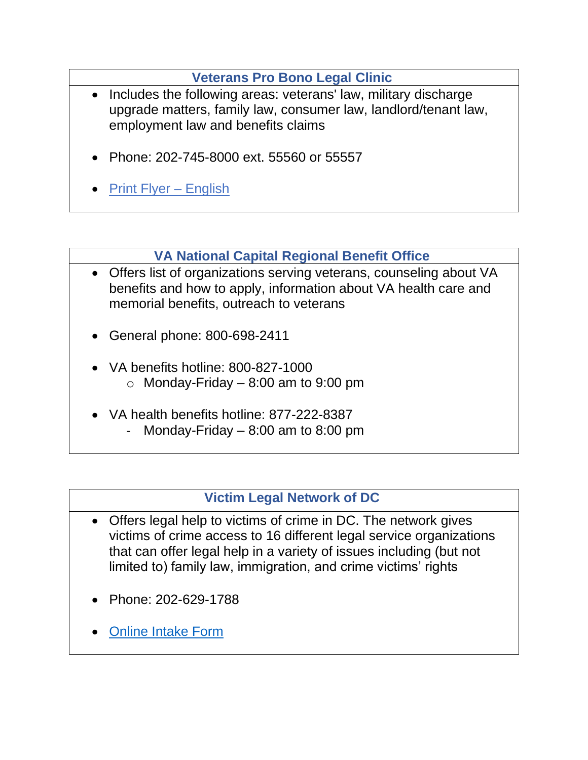#### **[Veterans Pro Bono Legal Clinic](https://servingtogetherproject.org/the-veterans-pro-bono-legal-clinic/)**

- <span id="page-50-1"></span>• Includes the following areas: veterans' law, military discharge upgrade matters, family law, consumer law, landlord/tenant law, employment law and benefits claims
- Phone: 202-745-8000 ext. 55560 or 55557
- [Print Flyer –](https://legalaiddc.sharepoint.com/:b:/s/Shared/Ea4GqSieaiZDtZjri-E3-OYBX8FbX2MOyNFVkACw5OcgFw?e=uNWn8K) English

## **[VA National Capital Regional Benefit Office](https://www.benefits.va.gov/ROWASHINGTON/services-offered.asp)**

- <span id="page-50-2"></span>• Offers list of organizations serving veterans, counseling about VA benefits and how to apply, information about VA health care and memorial benefits, outreach to veterans
- General phone: 800-698-2411
- VA benefits hotline: 800-827-1000  $\circ$  Monday-Friday – 8:00 am to 9:00 pm
- VA health benefits hotline: 877-222-8387 Monday-Friday  $- 8:00$  am to 8:00 pm

#### **[Victim Legal Network of DC](https://vlndc.org/)**

- <span id="page-50-0"></span>• Offers legal help to victims of crime in DC. The network gives victims of crime access to 16 different legal service organizations that can offer legal help in a variety of issues including (but not limited to) family law, immigration, and crime victims' rights
- Phone: 202-629-1788
- [Online Intake Form](https://vlndc.org/for-victims-of-crime/get-help/)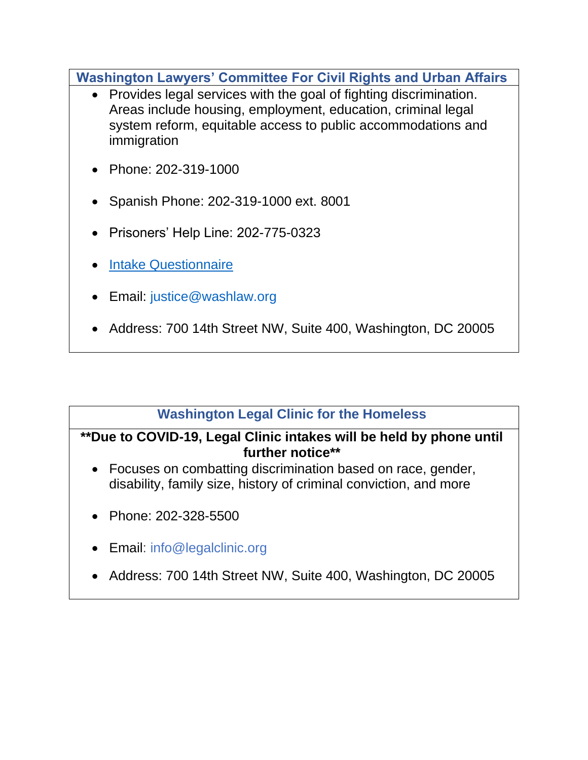<span id="page-51-0"></span>**[Washington Lawyers' Committee For Civil Rights and Urban Affairs](https://www.washlaw.org/)**

- Provides legal services with the goal of fighting discrimination. Areas include housing, employment, education, criminal legal system reform, equitable access to public accommodations and immigration
- Phone: 202-319-1000
- Spanish Phone: 202-319-1000 ext. 8001
- Prisoners' Help Line: 202-775-0323
- **[Intake Questionnaire](https://www.washlaw.org/who-we-serve/get-legal-help/)**
- Email: [justice@washlaw.org](mailto:justice@washlaw.org)
- Address: 700 14th Street NW, Suite 400, Washington, DC 20005

## **[Washington Legal Clinic for the Homeless](https://www.legalclinic.org/)**

#### <span id="page-51-1"></span>**\*\*Due to COVID-19, Legal Clinic intakes will be held by phone until further notice\*\***

- Focuses on combatting discrimination based on race, gender, disability, family size, history of criminal conviction, and more
- Phone: 202-328-5500
- Email: info@legalclinic.org
- Address: 700 14th Street NW, Suite 400, Washington, DC 20005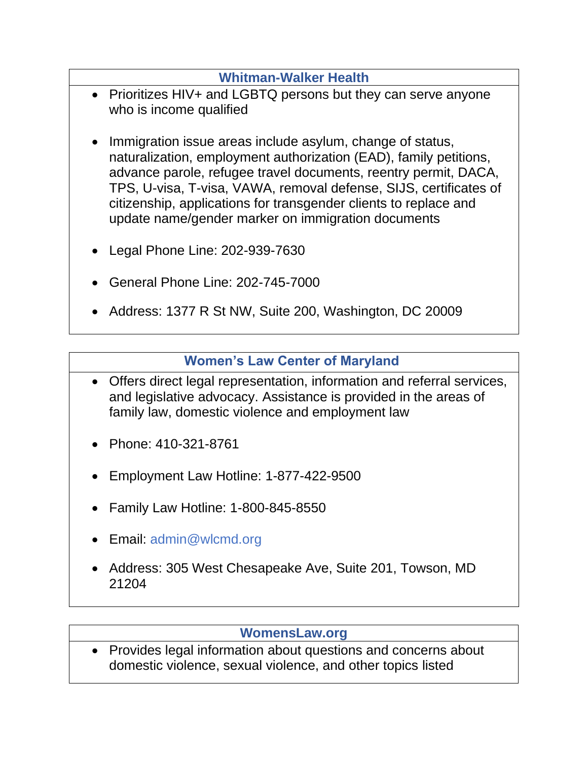#### **[Whitman-Walker Health](https://www.whitman-walker.org/)**

- <span id="page-52-1"></span>• Prioritizes HIV+ and LGBTQ persons but they can serve anyone who is income qualified
- Immigration issue areas include asylum, change of status, naturalization, employment authorization (EAD), family petitions, advance parole, refugee travel documents, reentry permit, DACA, TPS, U-visa, T-visa, VAWA, removal defense, SIJS, certificates of citizenship, applications for transgender clients to replace and update name/gender marker on immigration documents
- Legal Phone Line: 202-939-7630
- General Phone Line: 202-745-7000
- Address: 1377 R St NW, Suite 200, Washington, DC 20009

#### **[Women's Law Center of Maryland](http://www.wlcmd.org/)**

- <span id="page-52-0"></span>• Offers direct legal representation, information and referral services, and legislative advocacy. Assistance is provided in the areas of family law, domestic violence and employment law
- Phone: 410-321-8761
- Employment Law Hotline: 1-877-422-9500
- Family Law Hotline: 1-800-845-8550
- Email: [admin@wlcmd.org](mailto:admin@wlcmd.org)
- Address: 305 West Chesapeake Ave, Suite 201, Towson, MD 21204

#### **[WomensLaw.org](https://www.womenslaw.org/)**

• Provides legal information about questions and concerns about domestic violence, sexual violence, and other topics listed